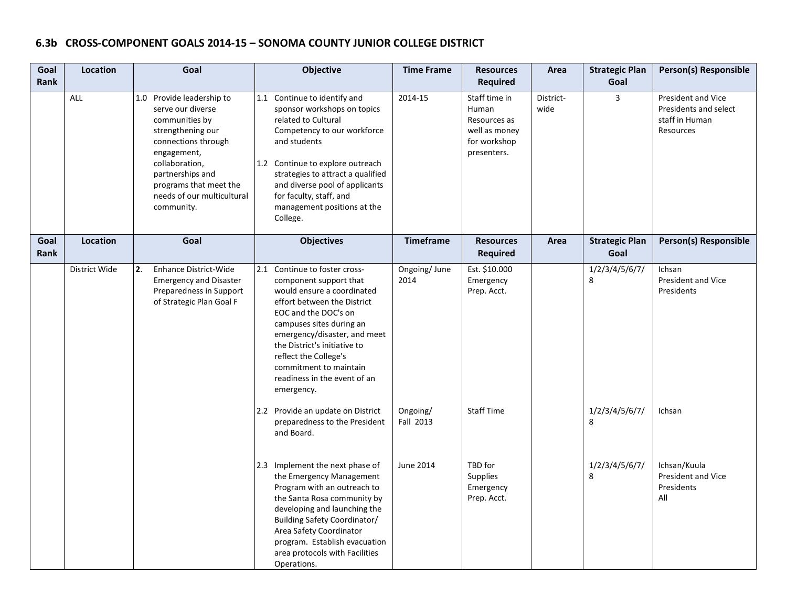# **6.3b CROSS-COMPONENT GOALS 2014-15 – SONOMA COUNTY JUNIOR COLLEGE DISTRICT**

| Goal<br>Rank | Location      | Goal                                                                                                                                                                                                                                    | Objective                                                                                                                                                                                                                                                                                                                                 | <b>Time Frame</b>     | <b>Resources</b><br><b>Required</b>                                                    | Area              | <b>Strategic Plan</b><br>Goal | Person(s) Responsible                                                      |
|--------------|---------------|-----------------------------------------------------------------------------------------------------------------------------------------------------------------------------------------------------------------------------------------|-------------------------------------------------------------------------------------------------------------------------------------------------------------------------------------------------------------------------------------------------------------------------------------------------------------------------------------------|-----------------------|----------------------------------------------------------------------------------------|-------------------|-------------------------------|----------------------------------------------------------------------------|
|              | ALL           | 1.0 Provide leadership to<br>serve our diverse<br>communities by<br>strengthening our<br>connections through<br>engagement,<br>collaboration,<br>partnerships and<br>programs that meet the<br>needs of our multicultural<br>community. | 1.1 Continue to identify and<br>sponsor workshops on topics<br>related to Cultural<br>Competency to our workforce<br>and students<br>1.2 Continue to explore outreach<br>strategies to attract a qualified<br>and diverse pool of applicants<br>for faculty, staff, and<br>management positions at the<br>College.                        | 2014-15               | Staff time in<br>Human<br>Resources as<br>well as money<br>for workshop<br>presenters. | District-<br>wide | $\overline{3}$                | President and Vice<br>Presidents and select<br>staff in Human<br>Resources |
| Goal<br>Rank | Location      | Goal                                                                                                                                                                                                                                    | <b>Objectives</b>                                                                                                                                                                                                                                                                                                                         | <b>Timeframe</b>      | <b>Resources</b><br><b>Required</b>                                                    | Area              | <b>Strategic Plan</b><br>Goal | <b>Person(s) Responsible</b>                                               |
|              | District Wide | 2.<br><b>Enhance District-Wide</b><br><b>Emergency and Disaster</b><br>Preparedness in Support<br>of Strategic Plan Goal F                                                                                                              | 2.1 Continue to foster cross-<br>component support that<br>would ensure a coordinated<br>effort between the District<br>EOC and the DOC's on<br>campuses sites during an<br>emergency/disaster, and meet<br>the District's initiative to<br>reflect the College's<br>commitment to maintain<br>readiness in the event of an<br>emergency. | Ongoing/June<br>2014  | Est. \$10.000<br>Emergency<br>Prep. Acct.                                              |                   | 1/2/3/4/5/6/7/<br>8           | Ichsan<br>President and Vice<br>Presidents                                 |
|              |               |                                                                                                                                                                                                                                         | 2.2 Provide an update on District<br>preparedness to the President<br>and Board.                                                                                                                                                                                                                                                          | Ongoing/<br>Fall 2013 | <b>Staff Time</b>                                                                      |                   | 1/2/3/4/5/6/7/<br>8           | Ichsan                                                                     |
|              |               |                                                                                                                                                                                                                                         | 2.3 Implement the next phase of<br>the Emergency Management<br>Program with an outreach to<br>the Santa Rosa community by<br>developing and launching the<br>Building Safety Coordinator/<br>Area Safety Coordinator<br>program. Establish evacuation<br>area protocols with Facilities<br>Operations.                                    | June 2014             | TBD for<br><b>Supplies</b><br>Emergency<br>Prep. Acct.                                 |                   | 1/2/3/4/5/6/7/<br>8           | Ichsan/Kuula<br>President and Vice<br>Presidents<br>All                    |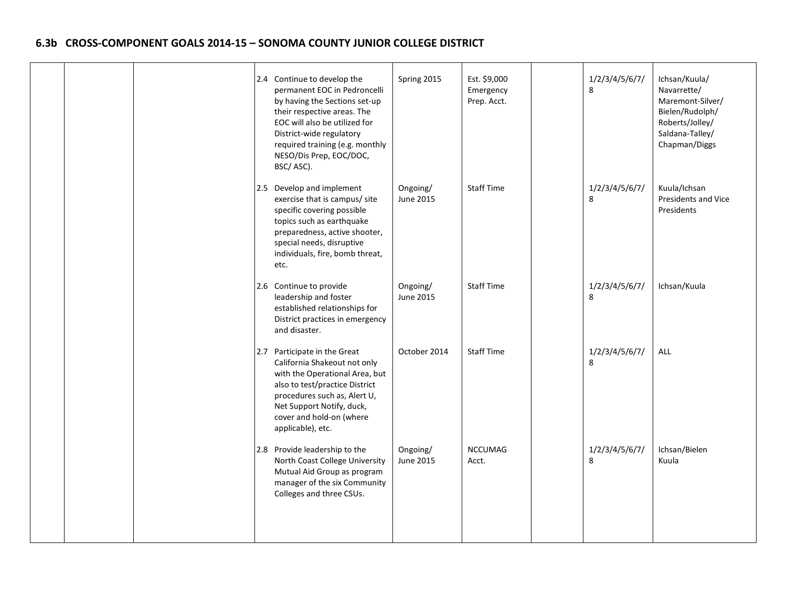## **6.3b CROSS-COMPONENT GOALS 2014-15 – SONOMA COUNTY JUNIOR COLLEGE DISTRICT**

|  | 2.4 Continue to develop the<br>permanent EOC in Pedroncelli<br>by having the Sections set-up<br>their respective areas. The<br>EOC will also be utilized for<br>District-wide regulatory<br>required training (e.g. monthly<br>NESO/Dis Prep, EOC/DOC,<br>BSC/ASC). | Spring 2015           | Est. \$9,000<br>Emergency<br>Prep. Acct. | 1/2/3/4/5/6/7/<br>8 | Ichsan/Kuula/<br>Navarrette/<br>Maremont-Silver/<br>Bielen/Rudolph/<br>Roberts/Jolley/<br>Saldana-Talley/<br>Chapman/Diggs |
|--|---------------------------------------------------------------------------------------------------------------------------------------------------------------------------------------------------------------------------------------------------------------------|-----------------------|------------------------------------------|---------------------|----------------------------------------------------------------------------------------------------------------------------|
|  | 2.5 Develop and implement<br>exercise that is campus/ site<br>specific covering possible<br>topics such as earthquake<br>preparedness, active shooter,<br>special needs, disruptive<br>individuals, fire, bomb threat,<br>etc.                                      | Ongoing/<br>June 2015 | <b>Staff Time</b>                        | 1/2/3/4/5/6/7/<br>8 | Kuula/Ichsan<br><b>Presidents and Vice</b><br>Presidents                                                                   |
|  | 2.6 Continue to provide<br>leadership and foster<br>established relationships for<br>District practices in emergency<br>and disaster.                                                                                                                               | Ongoing/<br>June 2015 | Staff Time                               | 1/2/3/4/5/6/7/<br>8 | Ichsan/Kuula                                                                                                               |
|  | 2.7 Participate in the Great<br>California Shakeout not only<br>with the Operational Area, but<br>also to test/practice District<br>procedures such as, Alert U,<br>Net Support Notify, duck,<br>cover and hold-on (where<br>applicable), etc.                      | October 2014          | <b>Staff Time</b>                        | 1/2/3/4/5/6/7/<br>8 | <b>ALL</b>                                                                                                                 |
|  | 2.8 Provide leadership to the<br>North Coast College University<br>Mutual Aid Group as program<br>manager of the six Community<br>Colleges and three CSUs.                                                                                                          | Ongoing/<br>June 2015 | <b>NCCUMAG</b><br>Acct.                  | 1/2/3/4/5/6/7/<br>8 | Ichsan/Bielen<br>Kuula                                                                                                     |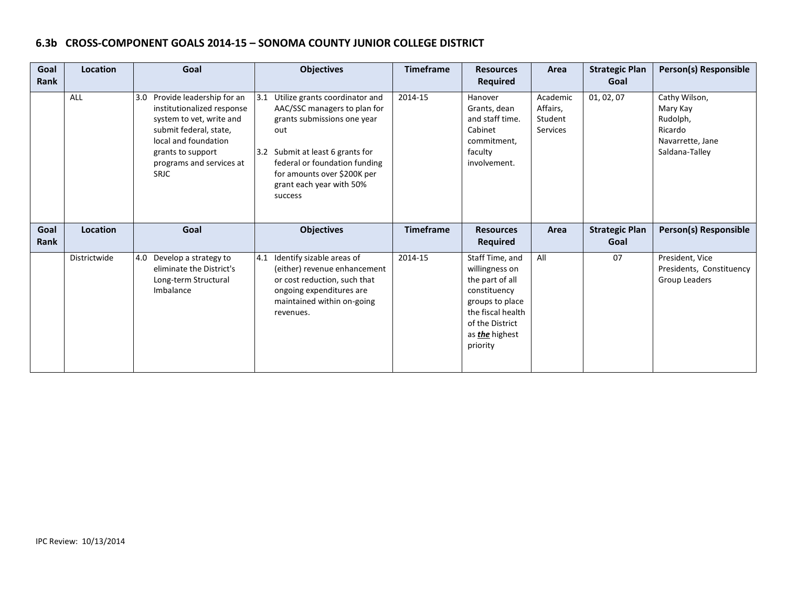## **6.3b CROSS-COMPONENT GOALS 2014-15 – SONOMA COUNTY JUNIOR COLLEGE DISTRICT**

| Goal<br><b>Rank</b> | <b>Location</b> | Goal                                                                                                                                                                                                         | <b>Objectives</b>                                                                                                                                                                                                                                   | <b>Timeframe</b> | <b>Resources</b><br><b>Required</b>                                                                                             | Area                                               | <b>Strategic Plan</b><br>Goal | Person(s) Responsible                                                                  |
|---------------------|-----------------|--------------------------------------------------------------------------------------------------------------------------------------------------------------------------------------------------------------|-----------------------------------------------------------------------------------------------------------------------------------------------------------------------------------------------------------------------------------------------------|------------------|---------------------------------------------------------------------------------------------------------------------------------|----------------------------------------------------|-------------------------------|----------------------------------------------------------------------------------------|
|                     | ALL             | Provide leadership for an<br>3.0<br>institutionalized response<br>system to vet, write and<br>submit federal, state,<br>local and foundation<br>grants to support<br>programs and services at<br><b>SRJC</b> | 3.1 Utilize grants coordinator and<br>AAC/SSC managers to plan for<br>grants submissions one year<br>out<br>3.2 Submit at least 6 grants for<br>federal or foundation funding<br>for amounts over \$200K per<br>grant each year with 50%<br>success | 2014-15          | Hanover<br>Grants, dean<br>and staff time.<br>Cabinet<br>commitment,<br>faculty<br>involvement.                                 | Academic<br>Affairs,<br>Student<br><b>Services</b> | 01, 02, 07                    | Cathy Wilson,<br>Mary Kay<br>Rudolph,<br>Ricardo<br>Navarrette, Jane<br>Saldana-Talley |
| Goal<br><b>Rank</b> | <b>Location</b> | Goal                                                                                                                                                                                                         | <b>Objectives</b>                                                                                                                                                                                                                                   | <b>Timeframe</b> | <b>Resources</b><br><b>Required</b>                                                                                             | Area                                               | <b>Strategic Plan</b><br>Goal | <b>Person(s) Responsible</b>                                                           |
|                     | Districtwide    | 4.0<br>Develop a strategy to<br>eliminate the District's<br>Long-term Structural<br>Imbalance                                                                                                                | 4.1 Identify sizable areas of<br>(either) revenue enhancement<br>or cost reduction, such that<br>ongoing expenditures are<br>maintained within on-going<br>revenues.                                                                                | 2014-15          | Staff Time, and<br>willingness on<br>the part of all<br>constituency<br>groups to place<br>the fiscal health<br>of the District | All                                                | 07                            | President, Vice<br>Presidents, Constituency<br>Group Leaders                           |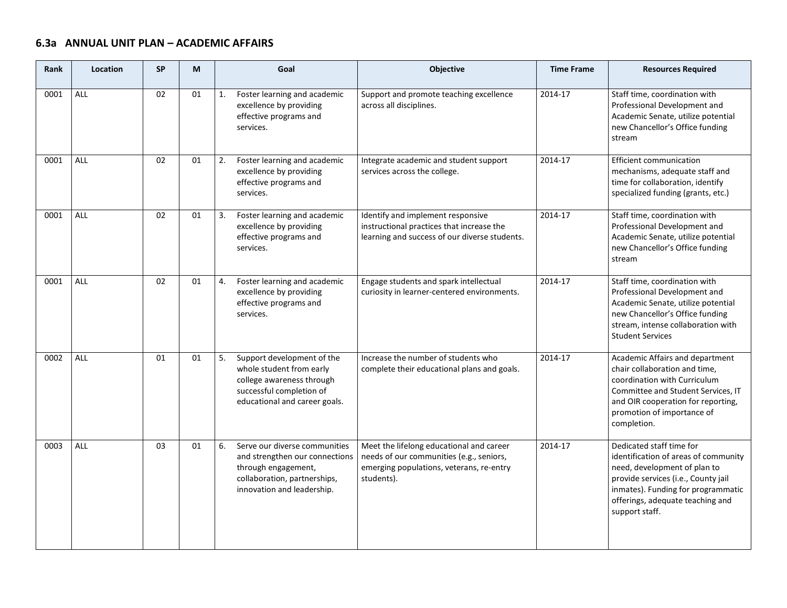# **6.3a ANNUAL UNIT PLAN – ACADEMIC AFFAIRS**

| <b>Rank</b> | Location   | <b>SP</b> | M  | Goal                                                                                                                                                       | Objective                                                                                                                                      | <b>Time Frame</b> | <b>Resources Required</b>                                                                                                                                                                                                           |
|-------------|------------|-----------|----|------------------------------------------------------------------------------------------------------------------------------------------------------------|------------------------------------------------------------------------------------------------------------------------------------------------|-------------------|-------------------------------------------------------------------------------------------------------------------------------------------------------------------------------------------------------------------------------------|
| 0001        | ALL        | 02        | 01 | Foster learning and academic<br>1.<br>excellence by providing<br>effective programs and<br>services.                                                       | Support and promote teaching excellence<br>across all disciplines.                                                                             | 2014-17           | Staff time, coordination with<br>Professional Development and<br>Academic Senate, utilize potential<br>new Chancellor's Office funding<br>stream                                                                                    |
| 0001        | <b>ALL</b> | 02        | 01 | 2.<br>Foster learning and academic<br>excellence by providing<br>effective programs and<br>services.                                                       | Integrate academic and student support<br>services across the college.                                                                         | 2014-17           | <b>Efficient communication</b><br>mechanisms, adequate staff and<br>time for collaboration, identify<br>specialized funding (grants, etc.)                                                                                          |
| 0001        | ALL        | 02        | 01 | Foster learning and academic<br>3.<br>excellence by providing<br>effective programs and<br>services.                                                       | Identify and implement responsive<br>instructional practices that increase the<br>learning and success of our diverse students.                | 2014-17           | Staff time, coordination with<br>Professional Development and<br>Academic Senate, utilize potential<br>new Chancellor's Office funding<br>stream                                                                                    |
| 0001        | ALL        | 02        | 01 | 4.<br>Foster learning and academic<br>excellence by providing<br>effective programs and<br>services.                                                       | Engage students and spark intellectual<br>curiosity in learner-centered environments.                                                          | 2014-17           | Staff time, coordination with<br>Professional Development and<br>Academic Senate, utilize potential<br>new Chancellor's Office funding<br>stream, intense collaboration with<br><b>Student Services</b>                             |
| 0002        | <b>ALL</b> | 01        | 01 | Support development of the<br>5.<br>whole student from early<br>college awareness through<br>successful completion of<br>educational and career goals.     | Increase the number of students who<br>complete their educational plans and goals.                                                             | 2014-17           | Academic Affairs and department<br>chair collaboration and time,<br>coordination with Curriculum<br>Committee and Student Services, IT<br>and OIR cooperation for reporting,<br>promotion of importance of<br>completion.           |
| 0003        | <b>ALL</b> | 03        | 01 | Serve our diverse communities<br>6.<br>and strengthen our connections<br>through engagement,<br>collaboration, partnerships,<br>innovation and leadership. | Meet the lifelong educational and career<br>needs of our communities (e.g., seniors,<br>emerging populations, veterans, re-entry<br>students). | 2014-17           | Dedicated staff time for<br>identification of areas of community<br>need, development of plan to<br>provide services (i.e., County jail<br>inmates). Funding for programmatic<br>offerings, adequate teaching and<br>support staff. |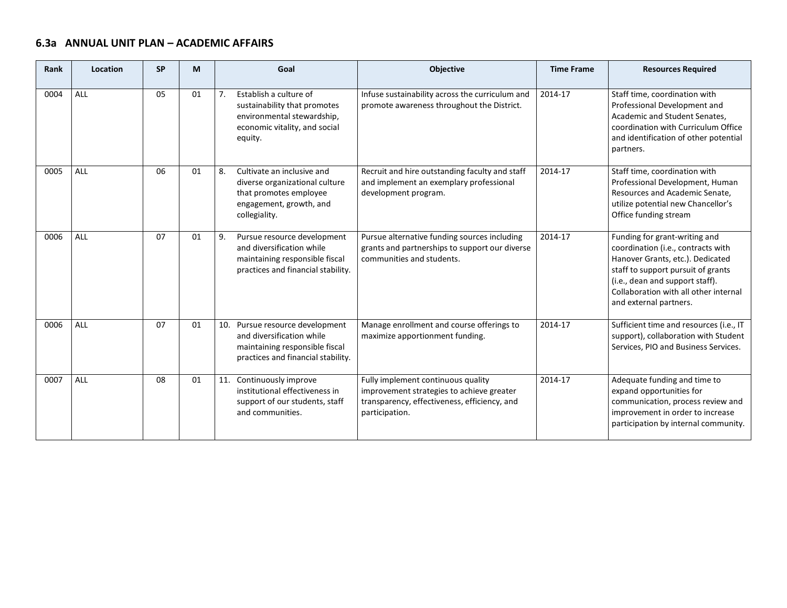#### **6.3a ANNUAL UNIT PLAN – ACADEMIC AFFAIRS** <u> The Communication of the Communication of</u>

| Rank | Location | <b>SP</b> | M  | Goal                                                                                                                                     | Objective                                                                                                                                         | <b>Time Frame</b> | <b>Resources Required</b>                                                                                                                                                                                                                           |
|------|----------|-----------|----|------------------------------------------------------------------------------------------------------------------------------------------|---------------------------------------------------------------------------------------------------------------------------------------------------|-------------------|-----------------------------------------------------------------------------------------------------------------------------------------------------------------------------------------------------------------------------------------------------|
| 0004 | ALL      | 05        | 01 | Establish a culture of<br>7.<br>sustainability that promotes<br>environmental stewardship,<br>economic vitality, and social<br>equity.   | Infuse sustainability across the curriculum and<br>promote awareness throughout the District.                                                     | 2014-17           | Staff time, coordination with<br>Professional Development and<br>Academic and Student Senates,<br>coordination with Curriculum Office<br>and identification of other potential<br>partners.                                                         |
| 0005 | ALL      | 06        | 01 | Cultivate an inclusive and<br>8.<br>diverse organizational culture<br>that promotes employee<br>engagement, growth, and<br>collegiality. | Recruit and hire outstanding faculty and staff<br>and implement an exemplary professional<br>development program.                                 | 2014-17           | Staff time, coordination with<br>Professional Development, Human<br>Resources and Academic Senate,<br>utilize potential new Chancellor's<br>Office funding stream                                                                                   |
| 0006 | ALL      | 07        | 01 | Pursue resource development<br>9.<br>and diversification while<br>maintaining responsible fiscal<br>practices and financial stability.   | Pursue alternative funding sources including<br>grants and partnerships to support our diverse<br>communities and students.                       | 2014-17           | Funding for grant-writing and<br>coordination (i.e., contracts with<br>Hanover Grants, etc.). Dedicated<br>staff to support pursuit of grants<br>(i.e., dean and support staff).<br>Collaboration with all other internal<br>and external partners. |
| 0006 | ALL      | 07        | 01 | 10. Pursue resource development<br>and diversification while<br>maintaining responsible fiscal<br>practices and financial stability.     | Manage enrollment and course offerings to<br>maximize apportionment funding.                                                                      | 2014-17           | Sufficient time and resources (i.e., IT<br>support), collaboration with Student<br>Services, PIO and Business Services.                                                                                                                             |
| 0007 | ALL      | 08        | 01 | 11. Continuously improve<br>institutional effectiveness in<br>support of our students, staff<br>and communities.                         | Fully implement continuous quality<br>improvement strategies to achieve greater<br>transparency, effectiveness, efficiency, and<br>participation. | 2014-17           | Adequate funding and time to<br>expand opportunities for<br>communication, process review and<br>improvement in order to increase<br>participation by internal community.                                                                           |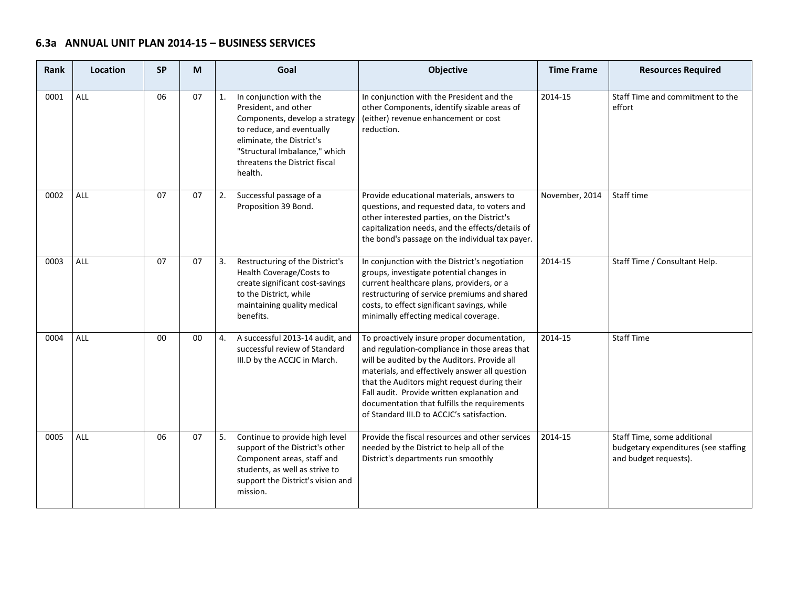# **6.3a ANNUAL UNIT PLAN 2014-15 – BUSINESS SERVICES**

| Rank | Location   | <b>SP</b> | M  | Goal                                                                                                                                                                                                                           | <b>Objective</b>                                                                                                                                                                                                                                                                                                                                                                            | <b>Time Frame</b> | <b>Resources Required</b>                                                                    |
|------|------------|-----------|----|--------------------------------------------------------------------------------------------------------------------------------------------------------------------------------------------------------------------------------|---------------------------------------------------------------------------------------------------------------------------------------------------------------------------------------------------------------------------------------------------------------------------------------------------------------------------------------------------------------------------------------------|-------------------|----------------------------------------------------------------------------------------------|
| 0001 | <b>ALL</b> | 06        | 07 | In conjunction with the<br>1.<br>President, and other<br>Components, develop a strategy<br>to reduce, and eventually<br>eliminate, the District's<br>"Structural Imbalance," which<br>threatens the District fiscal<br>health. | In conjunction with the President and the<br>other Components, identify sizable areas of<br>(either) revenue enhancement or cost<br>reduction.                                                                                                                                                                                                                                              | 2014-15           | Staff Time and commitment to the<br>effort                                                   |
| 0002 | ALL        | 07        | 07 | Successful passage of a<br>2.<br>Proposition 39 Bond.                                                                                                                                                                          | Provide educational materials, answers to<br>questions, and requested data, to voters and<br>other interested parties, on the District's<br>capitalization needs, and the effects/details of<br>the bond's passage on the individual tax payer.                                                                                                                                             | November, 2014    | Staff time                                                                                   |
| 0003 | <b>ALL</b> | 07        | 07 | Restructuring of the District's<br>3.<br>Health Coverage/Costs to<br>create significant cost-savings<br>to the District, while<br>maintaining quality medical<br>benefits.                                                     | In conjunction with the District's negotiation<br>groups, investigate potential changes in<br>current healthcare plans, providers, or a<br>restructuring of service premiums and shared<br>costs, to effect significant savings, while<br>minimally effecting medical coverage.                                                                                                             | 2014-15           | Staff Time / Consultant Help.                                                                |
| 0004 | <b>ALL</b> | 00        | 00 | A successful 2013-14 audit, and<br>4.<br>successful review of Standard<br>III.D by the ACCJC in March.                                                                                                                         | To proactively insure proper documentation,<br>and regulation-compliance in those areas that<br>will be audited by the Auditors. Provide all<br>materials, and effectively answer all question<br>that the Auditors might request during their<br>Fall audit. Provide written explanation and<br>documentation that fulfills the requirements<br>of Standard III.D to ACCJC's satisfaction. | 2014-15           | <b>Staff Time</b>                                                                            |
| 0005 | <b>ALL</b> | 06        | 07 | 5.<br>Continue to provide high level<br>support of the District's other<br>Component areas, staff and<br>students, as well as strive to<br>support the District's vision and<br>mission.                                       | Provide the fiscal resources and other services<br>needed by the District to help all of the<br>District's departments run smoothly                                                                                                                                                                                                                                                         | 2014-15           | Staff Time, some additional<br>budgetary expenditures (see staffing<br>and budget requests). |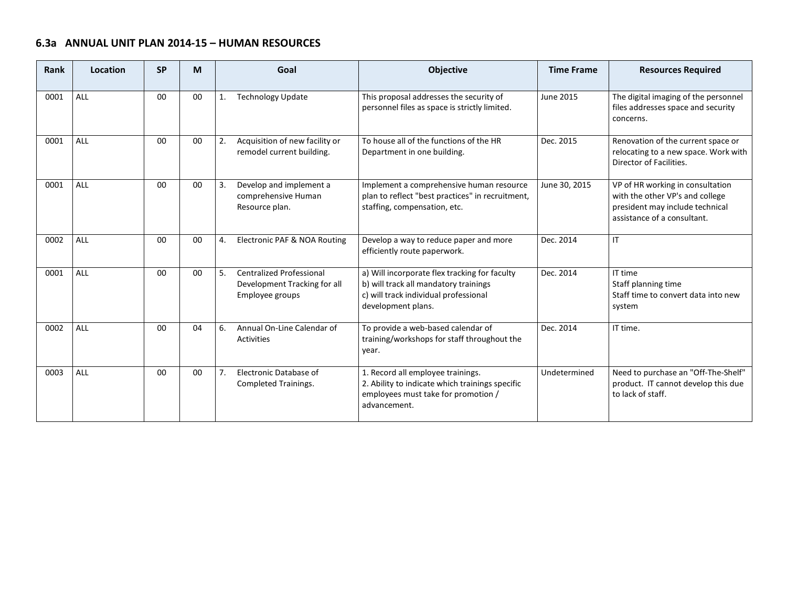#### **6.3a ANNUAL UNIT PLAN 2014-15 – HUMAN RESOURCES** ш.

| Rank | Location   | <b>SP</b> | М      | Goal                                                                                     | <b>Objective</b>                                                                                                                                      | <b>Time Frame</b> | <b>Resources Required</b>                                                                                                             |
|------|------------|-----------|--------|------------------------------------------------------------------------------------------|-------------------------------------------------------------------------------------------------------------------------------------------------------|-------------------|---------------------------------------------------------------------------------------------------------------------------------------|
| 0001 | <b>ALL</b> | $00\,$    | 00     | <b>Technology Update</b><br>1.                                                           | This proposal addresses the security of<br>personnel files as space is strictly limited.                                                              | <b>June 2015</b>  | The digital imaging of the personnel<br>files addresses space and security<br>concerns.                                               |
| 0001 | <b>ALL</b> | $00\,$    | 00     | Acquisition of new facility or<br>2.<br>remodel current building.                        | To house all of the functions of the HR<br>Department in one building.                                                                                | Dec. 2015         | Renovation of the current space or<br>relocating to a new space. Work with<br>Director of Facilities.                                 |
| 0001 | <b>ALL</b> | $00\,$    | 00     | 3.<br>Develop and implement a<br>comprehensive Human<br>Resource plan.                   | Implement a comprehensive human resource<br>plan to reflect "best practices" in recruitment,<br>staffing, compensation, etc.                          | June 30, 2015     | VP of HR working in consultation<br>with the other VP's and college<br>president may include technical<br>assistance of a consultant. |
| 0002 | <b>ALL</b> | 00        | 00     | Electronic PAF & NOA Routing<br>4.                                                       | Develop a way to reduce paper and more<br>efficiently route paperwork.                                                                                | Dec. 2014         | $\mathsf{I}$                                                                                                                          |
| 0001 | <b>ALL</b> | $00\,$    | $00\,$ | 5.<br><b>Centralized Professional</b><br>Development Tracking for all<br>Employee groups | a) Will incorporate flex tracking for faculty<br>b) will track all mandatory trainings<br>c) will track individual professional<br>development plans. | Dec. 2014         | IT time<br>Staff planning time<br>Staff time to convert data into new<br>system                                                       |
| 0002 | <b>ALL</b> | 00        | 04     | Annual On-Line Calendar of<br>6.<br><b>Activities</b>                                    | To provide a web-based calendar of<br>training/workshops for staff throughout the<br>year.                                                            | Dec. 2014         | IT time.                                                                                                                              |
| 0003 | <b>ALL</b> | $00\,$    | $00\,$ | 7.<br>Electronic Database of<br>Completed Trainings.                                     | 1. Record all employee trainings.<br>2. Ability to indicate which trainings specific<br>employees must take for promotion /<br>advancement.           | Undetermined      | Need to purchase an "Off-The-Shelf"<br>product. IT cannot develop this due<br>to lack of staff.                                       |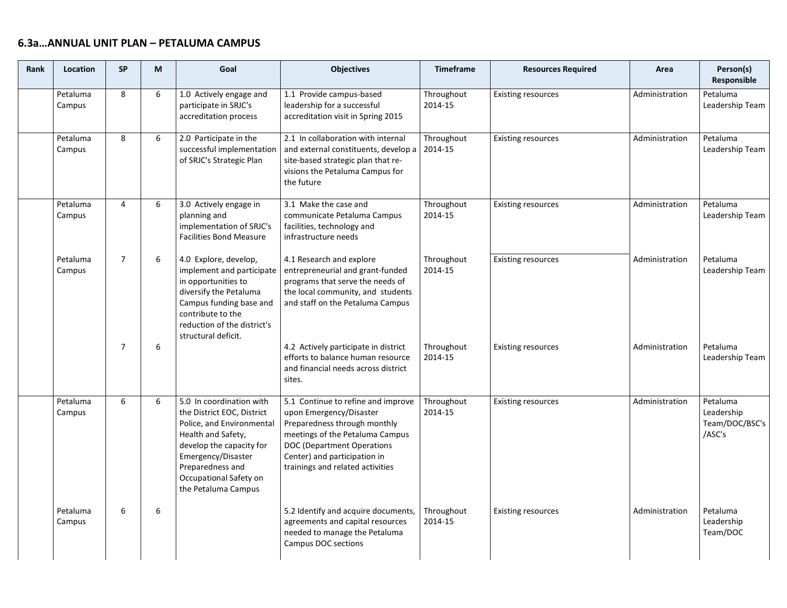| Rank | <b>Location</b>    | <b>SP</b>      | M | Goal                                                                                                                                                                                                                             | <b>Objectives</b>                                                                                                                                                                                                                  | <b>Timeframe</b>      | <b>Resources Required</b> | Area           | Person(s)<br>Responsible                           |
|------|--------------------|----------------|---|----------------------------------------------------------------------------------------------------------------------------------------------------------------------------------------------------------------------------------|------------------------------------------------------------------------------------------------------------------------------------------------------------------------------------------------------------------------------------|-----------------------|---------------------------|----------------|----------------------------------------------------|
|      | Petaluma<br>Campus | 8              | 6 | 1.0 Actively engage and<br>participate in SRJC's<br>accreditation process                                                                                                                                                        | 1.1 Provide campus-based<br>leadership for a successful<br>accreditation visit in Spring 2015                                                                                                                                      | Throughout<br>2014-15 | <b>Existing resources</b> | Administration | Petaluma<br>Leadership Team                        |
|      | Petaluma<br>Campus | 8              | 6 | 2.0 Participate in the<br>successful implementation<br>of SRJC's Strategic Plan                                                                                                                                                  | 2.1 In collaboration with internal<br>and external constituents, develop a<br>site-based strategic plan that re-<br>visions the Petaluma Campus for<br>the future                                                                  | Throughout<br>2014-15 | <b>Existing resources</b> | Administration | Petaluma<br>Leadership Team                        |
|      | Petaluma<br>Campus | $\overline{4}$ | 6 | 3.0 Actively engage in<br>planning and<br>implementation of SRJC's<br><b>Facilities Bond Measure</b>                                                                                                                             | 3.1 Make the case and<br>communicate Petaluma Campus<br>facilities, technology and<br>infrastructure needs                                                                                                                         | Throughout<br>2014-15 | <b>Existing resources</b> | Administration | Petaluma<br>Leadership Team                        |
|      | Petaluma<br>Campus | $\overline{7}$ | 6 | 4.0 Explore, develop,<br>implement and participate<br>in opportunities to<br>diversify the Petaluma<br>Campus funding base and<br>contribute to the<br>reduction of the district's<br>structural deficit.                        | 4.1 Research and explore<br>entrepreneurial and grant-funded<br>programs that serve the needs of<br>the local community, and students<br>and staff on the Petaluma Campus                                                          | Throughout<br>2014-15 | <b>Existing resources</b> | Administration | Petaluma<br>Leadership Team                        |
|      |                    | $\overline{7}$ | 6 |                                                                                                                                                                                                                                  | 4.2 Actively participate in district<br>efforts to balance human resource<br>and financial needs across district<br>sites.                                                                                                         | Throughout<br>2014-15 | <b>Existing resources</b> | Administration | Petaluma<br>Leadership Team                        |
|      | Petaluma<br>Campus | 6              | 6 | 5.0 In coordination with<br>the District EOC, District<br>Police, and Environmental<br>Health and Safety,<br>develop the capacity for<br>Emergency/Disaster<br>Preparedness and<br>Occupational Safety on<br>the Petaluma Campus | 5.1 Continue to refine and improve<br>upon Emergency/Disaster<br>Preparedness through monthly<br>meetings of the Petaluma Campus<br>DOC (Department Operations<br>Center) and participation in<br>trainings and related activities | Throughout<br>2014-15 | <b>Existing resources</b> | Administration | Petaluma<br>Leadership<br>Team/DOC/BSC's<br>/ASC's |
|      | Petaluma<br>Campus | 6              | 6 |                                                                                                                                                                                                                                  | 5.2 Identify and acquire documents,<br>agreements and capital resources<br>needed to manage the Petaluma<br>Campus DOC sections                                                                                                    | Throughout<br>2014-15 | <b>Existing resources</b> | Administration | Petaluma<br>Leadership<br>Team/DOC                 |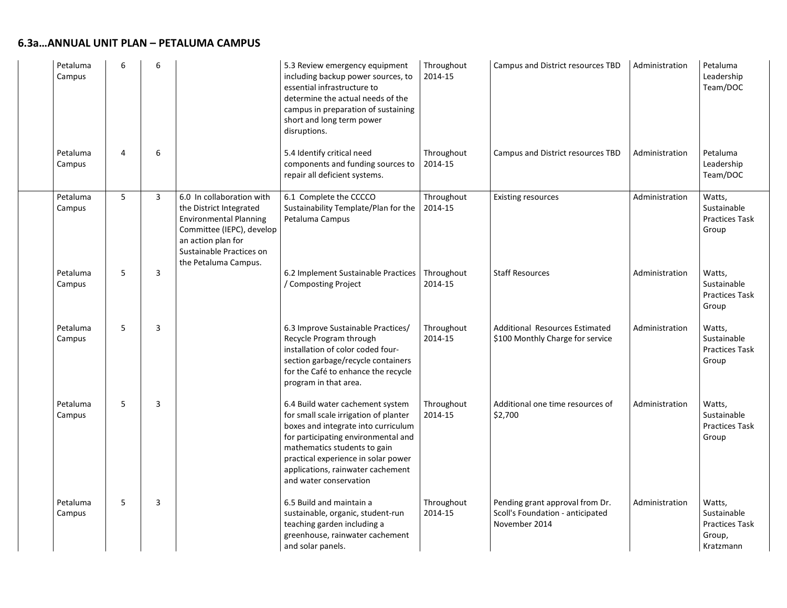| Petaluma<br>Campus | 6              | 6              |                                                                                                                                                                                              | 5.3 Review emergency equipment<br>including backup power sources, to<br>essential infrastructure to<br>determine the actual needs of the<br>campus in preparation of sustaining<br>short and long term power<br>disruptions.                                                                  | Throughout<br>2014-15 | Campus and District resources TBD                                                    | Administration | Petaluma<br>Leadership<br>Team/DOC                                    |
|--------------------|----------------|----------------|----------------------------------------------------------------------------------------------------------------------------------------------------------------------------------------------|-----------------------------------------------------------------------------------------------------------------------------------------------------------------------------------------------------------------------------------------------------------------------------------------------|-----------------------|--------------------------------------------------------------------------------------|----------------|-----------------------------------------------------------------------|
| Petaluma<br>Campus | $\overline{4}$ | 6              |                                                                                                                                                                                              | 5.4 Identify critical need<br>components and funding sources to<br>repair all deficient systems.                                                                                                                                                                                              | Throughout<br>2014-15 | Campus and District resources TBD                                                    | Administration | Petaluma<br>Leadership<br>Team/DOC                                    |
| Petaluma<br>Campus | 5              | $\overline{3}$ | 6.0 In collaboration with<br>the District Integrated<br><b>Environmental Planning</b><br>Committee (IEPC), develop<br>an action plan for<br>Sustainable Practices on<br>the Petaluma Campus. | 6.1 Complete the CCCCO<br>Sustainability Template/Plan for the<br>Petaluma Campus                                                                                                                                                                                                             | Throughout<br>2014-15 | <b>Existing resources</b>                                                            | Administration | Watts,<br>Sustainable<br><b>Practices Task</b><br>Group               |
| Petaluma<br>Campus | 5              | 3              |                                                                                                                                                                                              | 6.2 Implement Sustainable Practices<br>/ Composting Project                                                                                                                                                                                                                                   | Throughout<br>2014-15 | <b>Staff Resources</b>                                                               | Administration | Watts,<br>Sustainable<br>Practices Task<br>Group                      |
| Petaluma<br>Campus | 5              | 3              |                                                                                                                                                                                              | 6.3 Improve Sustainable Practices/<br>Recycle Program through<br>installation of color coded four-<br>section garbage/recycle containers<br>for the Café to enhance the recycle<br>program in that area.                                                                                      | Throughout<br>2014-15 | <b>Additional Resources Estimated</b><br>\$100 Monthly Charge for service            | Administration | Watts,<br>Sustainable<br><b>Practices Task</b><br>Group               |
| Petaluma<br>Campus | 5              | 3              |                                                                                                                                                                                              | 6.4 Build water cachement system<br>for small scale irrigation of planter<br>boxes and integrate into curriculum<br>for participating environmental and<br>mathematics students to gain<br>practical experience in solar power<br>applications, rainwater cachement<br>and water conservation | Throughout<br>2014-15 | Additional one time resources of<br>\$2,700                                          | Administration | Watts,<br>Sustainable<br>Practices Task<br>Group                      |
| Petaluma<br>Campus | 5              | 3              |                                                                                                                                                                                              | 6.5 Build and maintain a<br>sustainable, organic, student-run<br>teaching garden including a<br>greenhouse, rainwater cachement<br>and solar panels.                                                                                                                                          | Throughout<br>2014-15 | Pending grant approval from Dr.<br>Scoll's Foundation - anticipated<br>November 2014 | Administration | Watts,<br>Sustainable<br><b>Practices Task</b><br>Group,<br>Kratzmann |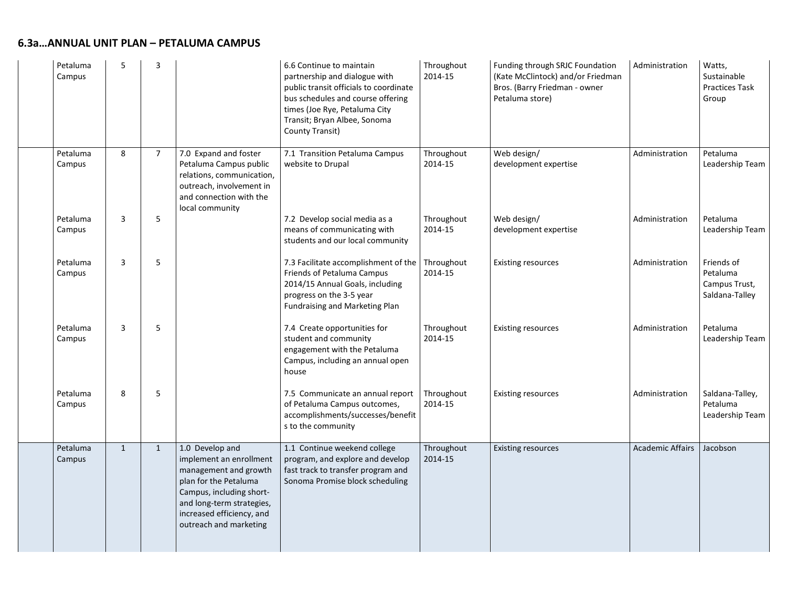| Petaluma<br>Campus | 5            | $\overline{3}$ |                                                                                                                                                                                                              | 6.6 Continue to maintain<br>partnership and dialogue with<br>public transit officials to coordinate<br>bus schedules and course offering<br>times (Joe Rye, Petaluma City<br>Transit; Bryan Albee, Sonoma<br>County Transit) | Throughout<br>2014-15 | Funding through SRJC Foundation<br>(Kate McClintock) and/or Friedman<br>Bros. (Barry Friedman - owner<br>Petaluma store) | Administration          | Watts,<br>Sustainable<br><b>Practices Task</b><br>Group   |
|--------------------|--------------|----------------|--------------------------------------------------------------------------------------------------------------------------------------------------------------------------------------------------------------|------------------------------------------------------------------------------------------------------------------------------------------------------------------------------------------------------------------------------|-----------------------|--------------------------------------------------------------------------------------------------------------------------|-------------------------|-----------------------------------------------------------|
| Petaluma<br>Campus | 8            | $\overline{7}$ | 7.0 Expand and foster<br>Petaluma Campus public<br>relations, communication,<br>outreach, involvement in<br>and connection with the<br>local community                                                       | 7.1 Transition Petaluma Campus<br>website to Drupal                                                                                                                                                                          | Throughout<br>2014-15 | Web design/<br>development expertise                                                                                     | Administration          | Petaluma<br>Leadership Team                               |
| Petaluma<br>Campus | 3            | 5              |                                                                                                                                                                                                              | 7.2 Develop social media as a<br>means of communicating with<br>students and our local community                                                                                                                             | Throughout<br>2014-15 | Web design/<br>development expertise                                                                                     | Administration          | Petaluma<br>Leadership Team                               |
| Petaluma<br>Campus | 3            | 5              |                                                                                                                                                                                                              | 7.3 Facilitate accomplishment of the<br>Friends of Petaluma Campus<br>2014/15 Annual Goals, including<br>progress on the 3-5 year<br>Fundraising and Marketing Plan                                                          | Throughout<br>2014-15 | <b>Existing resources</b>                                                                                                | Administration          | Friends of<br>Petaluma<br>Campus Trust,<br>Saldana-Talley |
| Petaluma<br>Campus | 3            | 5              |                                                                                                                                                                                                              | 7.4 Create opportunities for<br>student and community<br>engagement with the Petaluma<br>Campus, including an annual open<br>house                                                                                           | Throughout<br>2014-15 | <b>Existing resources</b>                                                                                                | Administration          | Petaluma<br>Leadership Team                               |
| Petaluma<br>Campus | 8            | 5              |                                                                                                                                                                                                              | 7.5 Communicate an annual report<br>of Petaluma Campus outcomes,<br>accomplishments/successes/benefit<br>s to the community                                                                                                  | Throughout<br>2014-15 | <b>Existing resources</b>                                                                                                | Administration          | Saldana-Talley,<br>Petaluma<br>Leadership Team            |
| Petaluma<br>Campus | $\mathbf{1}$ | $\mathbf{1}$   | 1.0 Develop and<br>implement an enrollment<br>management and growth<br>plan for the Petaluma<br>Campus, including short-<br>and long-term strategies,<br>increased efficiency, and<br>outreach and marketing | 1.1 Continue weekend college<br>program, and explore and develop<br>fast track to transfer program and<br>Sonoma Promise block scheduling                                                                                    | Throughout<br>2014-15 | <b>Existing resources</b>                                                                                                | <b>Academic Affairs</b> | Jacobson                                                  |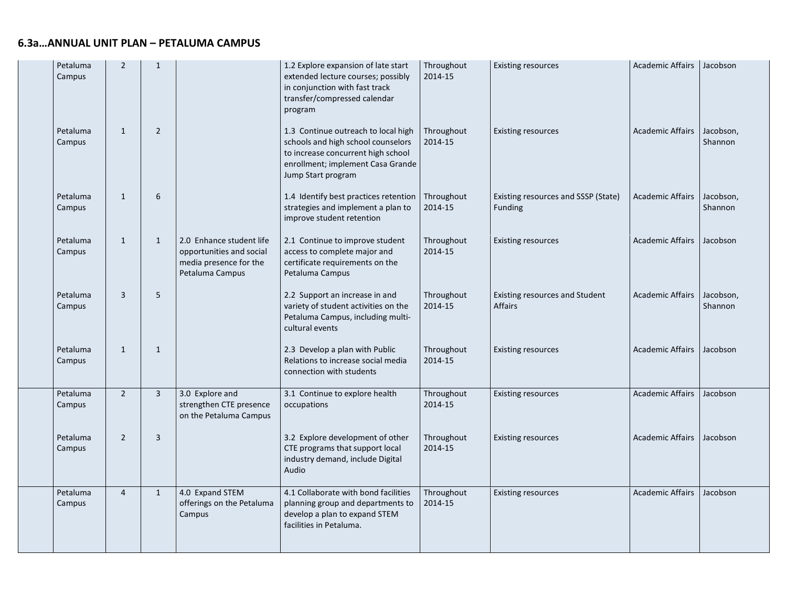| Petaluma<br>Campus | $\overline{2}$ | $\mathbf{1}$   |                                                                                                   | 1.2 Explore expansion of late start<br>extended lecture courses; possibly<br>in conjunction with fast track<br>transfer/compressed calendar<br>program                     | Throughout<br>2014-15 | <b>Existing resources</b>                             | Academic Affairs        | Jacobson             |
|--------------------|----------------|----------------|---------------------------------------------------------------------------------------------------|----------------------------------------------------------------------------------------------------------------------------------------------------------------------------|-----------------------|-------------------------------------------------------|-------------------------|----------------------|
| Petaluma<br>Campus | $\mathbf{1}$   | $\overline{2}$ |                                                                                                   | 1.3 Continue outreach to local high<br>schools and high school counselors<br>to increase concurrent high school<br>enrollment; implement Casa Grande<br>Jump Start program | Throughout<br>2014-15 | <b>Existing resources</b>                             | <b>Academic Affairs</b> | Jacobson,<br>Shannon |
| Petaluma<br>Campus | $\mathbf{1}$   | 6              |                                                                                                   | 1.4 Identify best practices retention   Throughout<br>strategies and implement a plan to<br>improve student retention                                                      | 2014-15               | Existing resources and SSSP (State)<br><b>Funding</b> | Academic Affairs        | Jacobson,<br>Shannon |
| Petaluma<br>Campus | $\mathbf{1}$   | $\mathbf{1}$   | 2.0 Enhance student life<br>opportunities and social<br>media presence for the<br>Petaluma Campus | 2.1 Continue to improve student<br>access to complete major and<br>certificate requirements on the<br>Petaluma Campus                                                      | Throughout<br>2014-15 | <b>Existing resources</b>                             | <b>Academic Affairs</b> | Jacobson             |
| Petaluma<br>Campus | 3              | 5              |                                                                                                   | 2.2 Support an increase in and<br>variety of student activities on the<br>Petaluma Campus, including multi-<br>cultural events                                             | Throughout<br>2014-15 | Existing resources and Student<br>Affairs             | <b>Academic Affairs</b> | Jacobson,<br>Shannon |
| Petaluma<br>Campus | $\mathbf{1}$   | $\mathbf{1}$   |                                                                                                   | 2.3 Develop a plan with Public<br>Relations to increase social media<br>connection with students                                                                           | Throughout<br>2014-15 | <b>Existing resources</b>                             | <b>Academic Affairs</b> | Jacobson             |
| Petaluma<br>Campus | $\overline{2}$ | $\overline{3}$ | 3.0 Explore and<br>strengthen CTE presence<br>on the Petaluma Campus                              | 3.1 Continue to explore health<br>occupations                                                                                                                              | Throughout<br>2014-15 | <b>Existing resources</b>                             | <b>Academic Affairs</b> | Jacobson             |
| Petaluma<br>Campus | $\overline{2}$ | $\overline{3}$ |                                                                                                   | 3.2 Explore development of other<br>CTE programs that support local<br>industry demand, include Digital<br>Audio                                                           | Throughout<br>2014-15 | <b>Existing resources</b>                             | Academic Affairs        | Jacobson             |
| Petaluma<br>Campus | $\overline{4}$ | $\mathbf{1}$   | 4.0 Expand STEM<br>offerings on the Petaluma<br>Campus                                            | 4.1 Collaborate with bond facilities<br>planning group and departments to<br>develop a plan to expand STEM<br>facilities in Petaluma.                                      | Throughout<br>2014-15 | <b>Existing resources</b>                             | <b>Academic Affairs</b> | Jacobson             |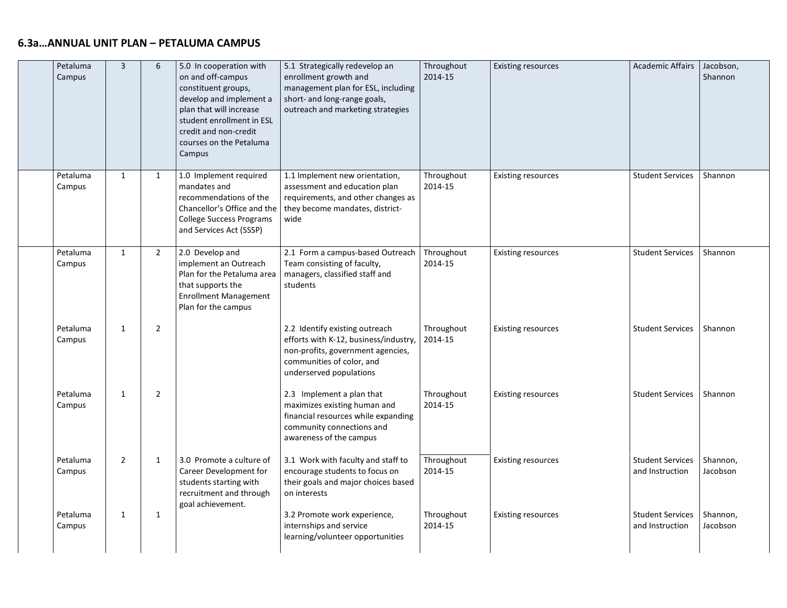| Petaluma<br>Campus | $\overline{3}$ | 6              | 5.0 In cooperation with<br>on and off-campus<br>constituent groups,<br>develop and implement a<br>plan that will increase<br>student enrollment in ESL<br>credit and non-credit<br>courses on the Petaluma<br>Campus | 5.1 Strategically redevelop an<br>enrollment growth and<br>management plan for ESL, including<br>short- and long-range goals,<br>outreach and marketing strategies   | Throughout<br>2014-15 | <b>Existing resources</b> | Academic Affairs   Jacobson,               | Shannon              |
|--------------------|----------------|----------------|----------------------------------------------------------------------------------------------------------------------------------------------------------------------------------------------------------------------|----------------------------------------------------------------------------------------------------------------------------------------------------------------------|-----------------------|---------------------------|--------------------------------------------|----------------------|
| Petaluma<br>Campus | $\mathbf{1}$   | $\mathbf{1}$   | 1.0 Implement required<br>mandates and<br>recommendations of the<br>Chancellor's Office and the<br><b>College Success Programs</b><br>and Services Act (SSSP)                                                        | 1.1 Implement new orientation,<br>assessment and education plan<br>requirements, and other changes as<br>they become mandates, district-<br>wide                     | Throughout<br>2014-15 | <b>Existing resources</b> | <b>Student Services</b>                    | Shannon              |
| Petaluma<br>Campus | $\mathbf{1}$   | $\overline{2}$ | 2.0 Develop and<br>implement an Outreach<br>Plan for the Petaluma area<br>that supports the<br><b>Enrollment Management</b><br>Plan for the campus                                                                   | 2.1 Form a campus-based Outreach<br>Team consisting of faculty,<br>managers, classified staff and<br>students                                                        | Throughout<br>2014-15 | <b>Existing resources</b> | <b>Student Services</b>                    | Shannon              |
| Petaluma<br>Campus | $\mathbf{1}$   | $\overline{2}$ |                                                                                                                                                                                                                      | 2.2 Identify existing outreach<br>efforts with K-12, business/industry,<br>non-profits, government agencies,<br>communities of color, and<br>underserved populations | Throughout<br>2014-15 | <b>Existing resources</b> | <b>Student Services</b>                    | Shannon              |
| Petaluma<br>Campus | $\mathbf{1}$   | $\overline{2}$ |                                                                                                                                                                                                                      | 2.3 Implement a plan that<br>maximizes existing human and<br>financial resources while expanding<br>community connections and<br>awareness of the campus             | Throughout<br>2014-15 | <b>Existing resources</b> | <b>Student Services</b>                    | Shannon              |
| Petaluma<br>Campus | $\overline{2}$ | $\mathbf{1}$   | 3.0 Promote a culture of<br>Career Development for<br>students starting with<br>recruitment and through<br>goal achievement.                                                                                         | 3.1 Work with faculty and staff to<br>encourage students to focus on<br>their goals and major choices based<br>on interests                                          | Throughout<br>2014-15 | <b>Existing resources</b> | <b>Student Services</b><br>and Instruction | Shannon,<br>Jacobson |
| Petaluma<br>Campus | $\mathbf{1}$   | $\mathbf{1}$   |                                                                                                                                                                                                                      | 3.2 Promote work experience,<br>internships and service<br>learning/volunteer opportunities                                                                          | Throughout<br>2014-15 | <b>Existing resources</b> | <b>Student Services</b><br>and Instruction | Shannon,<br>Jacobson |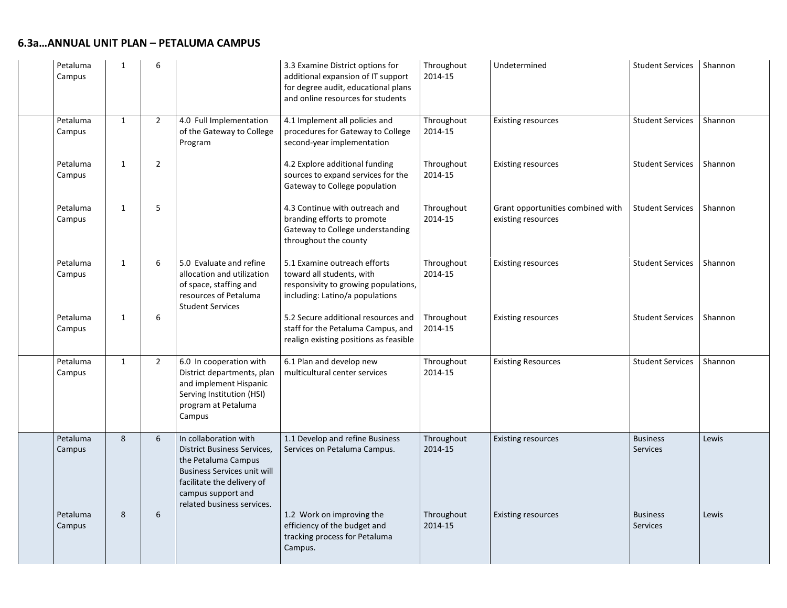| Petaluma<br>Campus | $\mathbf{1}$ | 6              |                                                                                                                                                                                                            | 3.3 Examine District options for<br>additional expansion of IT support<br>for degree audit, educational plans<br>and online resources for students | Throughout<br>2014-15 | Undetermined                                            | Student Services   Shannon         |         |
|--------------------|--------------|----------------|------------------------------------------------------------------------------------------------------------------------------------------------------------------------------------------------------------|----------------------------------------------------------------------------------------------------------------------------------------------------|-----------------------|---------------------------------------------------------|------------------------------------|---------|
| Petaluma<br>Campus | $\mathbf{1}$ | $\overline{2}$ | 4.0 Full Implementation<br>of the Gateway to College<br>Program                                                                                                                                            | 4.1 Implement all policies and<br>procedures for Gateway to College<br>second-year implementation                                                  | Throughout<br>2014-15 | <b>Existing resources</b>                               | <b>Student Services</b>            | Shannon |
| Petaluma<br>Campus | $\mathbf{1}$ | $\overline{2}$ |                                                                                                                                                                                                            | 4.2 Explore additional funding<br>sources to expand services for the<br>Gateway to College population                                              | Throughout<br>2014-15 | <b>Existing resources</b>                               | <b>Student Services</b>            | Shannon |
| Petaluma<br>Campus | 1            | 5              |                                                                                                                                                                                                            | 4.3 Continue with outreach and<br>branding efforts to promote<br>Gateway to College understanding<br>throughout the county                         | Throughout<br>2014-15 | Grant opportunities combined with<br>existing resources | <b>Student Services</b>            | Shannon |
| Petaluma<br>Campus | $\mathbf{1}$ | 6              | 5.0 Evaluate and refine<br>allocation and utilization<br>of space, staffing and<br>resources of Petaluma<br><b>Student Services</b>                                                                        | 5.1 Examine outreach efforts<br>toward all students, with<br>responsivity to growing populations,<br>including: Latino/a populations               | Throughout<br>2014-15 | <b>Existing resources</b>                               | <b>Student Services</b>            | Shannon |
| Petaluma<br>Campus | $\mathbf{1}$ | 6              |                                                                                                                                                                                                            | 5.2 Secure additional resources and<br>staff for the Petaluma Campus, and<br>realign existing positions as feasible                                | Throughout<br>2014-15 | <b>Existing resources</b>                               | <b>Student Services</b>            | Shannon |
| Petaluma<br>Campus | $\mathbf{1}$ | $\overline{2}$ | 6.0 In cooperation with<br>District departments, plan<br>and implement Hispanic<br>Serving Institution (HSI)<br>program at Petaluma<br>Campus                                                              | 6.1 Plan and develop new<br>multicultural center services                                                                                          | Throughout<br>2014-15 | <b>Existing Resources</b>                               | <b>Student Services</b>            | Shannon |
| Petaluma<br>Campus | 8            | 6              | In collaboration with<br><b>District Business Services,</b><br>the Petaluma Campus<br><b>Business Services unit will</b><br>facilitate the delivery of<br>campus support and<br>related business services. | 1.1 Develop and refine Business<br>Services on Petaluma Campus.                                                                                    | Throughout<br>2014-15 | <b>Existing resources</b>                               | <b>Business</b><br><b>Services</b> | Lewis   |
| Petaluma<br>Campus | 8            | 6              |                                                                                                                                                                                                            | 1.2 Work on improving the<br>efficiency of the budget and<br>tracking process for Petaluma<br>Campus.                                              | Throughout<br>2014-15 | <b>Existing resources</b>                               | <b>Business</b><br><b>Services</b> | Lewis   |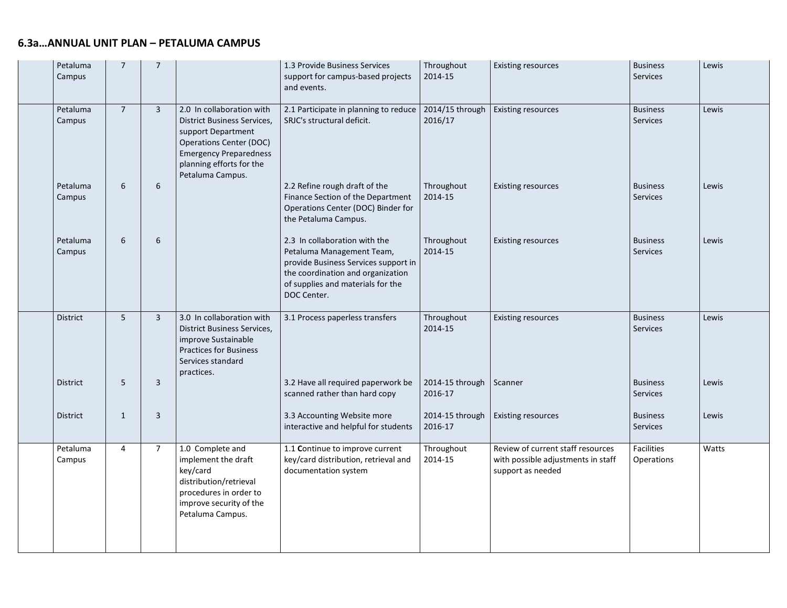|  | Petaluma<br>Campus | $\overline{7}$ | $\overline{7}$ |                                                                                                                                                                                                          | 1.3 Provide Business Services<br>support for campus-based projects<br>and events.                                                                                                           | Throughout<br>2014-15      | <b>Existing resources</b>                                                                    | <b>Business</b><br>Services        | Lewis |
|--|--------------------|----------------|----------------|----------------------------------------------------------------------------------------------------------------------------------------------------------------------------------------------------------|---------------------------------------------------------------------------------------------------------------------------------------------------------------------------------------------|----------------------------|----------------------------------------------------------------------------------------------|------------------------------------|-------|
|  | Petaluma<br>Campus | $\overline{7}$ | $\overline{3}$ | 2.0 In collaboration with<br><b>District Business Services,</b><br>support Department<br><b>Operations Center (DOC)</b><br><b>Emergency Preparedness</b><br>planning efforts for the<br>Petaluma Campus. | 2.1 Participate in planning to reduce<br>SRJC's structural deficit.                                                                                                                         | 2014/15 through<br>2016/17 | <b>Existing resources</b>                                                                    | <b>Business</b><br>Services        | Lewis |
|  | Petaluma<br>Campus | 6              | 6              |                                                                                                                                                                                                          | 2.2 Refine rough draft of the<br>Finance Section of the Department<br>Operations Center (DOC) Binder for<br>the Petaluma Campus.                                                            | Throughout<br>2014-15      | <b>Existing resources</b>                                                                    | <b>Business</b><br>Services        | Lewis |
|  | Petaluma<br>Campus | 6              | 6              |                                                                                                                                                                                                          | 2.3 In collaboration with the<br>Petaluma Management Team,<br>provide Business Services support in<br>the coordination and organization<br>of supplies and materials for the<br>DOC Center. | Throughout<br>2014-15      | <b>Existing resources</b>                                                                    | <b>Business</b><br><b>Services</b> | Lewis |
|  | <b>District</b>    | $5\phantom{.}$ | $\overline{3}$ | 3.0 In collaboration with<br><b>District Business Services,</b><br>improve Sustainable<br><b>Practices for Business</b><br>Services standard<br>practices.                                               | 3.1 Process paperless transfers                                                                                                                                                             | Throughout<br>2014-15      | <b>Existing resources</b>                                                                    | <b>Business</b><br>Services        | Lewis |
|  | <b>District</b>    | 5              | $\overline{3}$ |                                                                                                                                                                                                          | 3.2 Have all required paperwork be<br>scanned rather than hard copy                                                                                                                         | 2014-15 through<br>2016-17 | Scanner                                                                                      | <b>Business</b><br>Services        | Lewis |
|  | <b>District</b>    | 1              | 3              |                                                                                                                                                                                                          | 3.3 Accounting Website more<br>interactive and helpful for students                                                                                                                         | 2014-15 through<br>2016-17 | <b>Existing resources</b>                                                                    | <b>Business</b><br>Services        | Lewis |
|  | Petaluma<br>Campus | $\overline{4}$ | $\overline{7}$ | 1.0 Complete and<br>implement the draft<br>key/card<br>distribution/retrieval<br>procedures in order to<br>improve security of the<br>Petaluma Campus.                                                   | 1.1 Continue to improve current<br>key/card distribution, retrieval and<br>documentation system                                                                                             | Throughout<br>2014-15      | Review of current staff resources<br>with possible adjustments in staff<br>support as needed | Facilities<br>Operations           | Watts |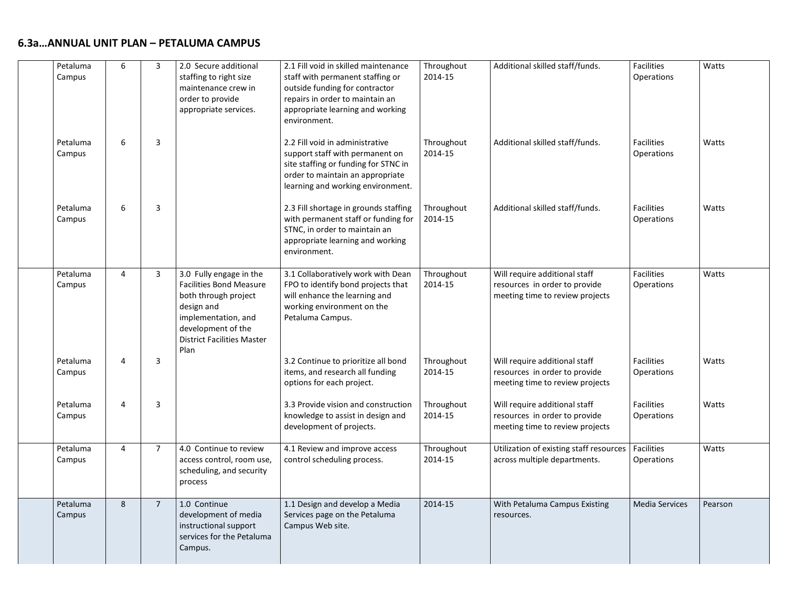| Petaluma<br>Campus | 6 | 3              | 2.0 Secure additional<br>staffing to right size<br>maintenance crew in<br>order to provide<br>appropriate services.                                                                       | 2.1 Fill void in skilled maintenance<br>staff with permanent staffing or<br>outside funding for contractor<br>repairs in order to maintain an<br>appropriate learning and working<br>environment. | Throughout<br>2014-15 | Additional skilled staff/funds.                                                                   | Facilities<br>Operations        | Watts   |
|--------------------|---|----------------|-------------------------------------------------------------------------------------------------------------------------------------------------------------------------------------------|---------------------------------------------------------------------------------------------------------------------------------------------------------------------------------------------------|-----------------------|---------------------------------------------------------------------------------------------------|---------------------------------|---------|
| Petaluma<br>Campus | 6 | 3              |                                                                                                                                                                                           | 2.2 Fill void in administrative<br>support staff with permanent on<br>site staffing or funding for STNC in<br>order to maintain an appropriate<br>learning and working environment.               | Throughout<br>2014-15 | Additional skilled staff/funds.                                                                   | <b>Facilities</b><br>Operations | Watts   |
| Petaluma<br>Campus | 6 | 3              |                                                                                                                                                                                           | 2.3 Fill shortage in grounds staffing<br>with permanent staff or funding for<br>STNC, in order to maintain an<br>appropriate learning and working<br>environment.                                 | Throughout<br>2014-15 | Additional skilled staff/funds.                                                                   | <b>Facilities</b><br>Operations | Watts   |
| Petaluma<br>Campus | 4 | $\overline{3}$ | 3.0 Fully engage in the<br><b>Facilities Bond Measure</b><br>both through project<br>design and<br>implementation, and<br>development of the<br><b>District Facilities Master</b><br>Plan | 3.1 Collaboratively work with Dean<br>FPO to identify bond projects that<br>will enhance the learning and<br>working environment on the<br>Petaluma Campus.                                       | Throughout<br>2014-15 | Will require additional staff<br>resources in order to provide<br>meeting time to review projects | <b>Facilities</b><br>Operations | Watts   |
| Petaluma<br>Campus | 4 | 3              |                                                                                                                                                                                           | 3.2 Continue to prioritize all bond<br>items, and research all funding<br>options for each project.                                                                                               | Throughout<br>2014-15 | Will require additional staff<br>resources in order to provide<br>meeting time to review projects | Facilities<br>Operations        | Watts   |
| Petaluma<br>Campus | 4 | 3              |                                                                                                                                                                                           | 3.3 Provide vision and construction<br>knowledge to assist in design and<br>development of projects.                                                                                              | Throughout<br>2014-15 | Will require additional staff<br>resources in order to provide<br>meeting time to review projects | Facilities<br>Operations        | Watts   |
| Petaluma<br>Campus | 4 | $\overline{7}$ | 4.0 Continue to review<br>access control, room use,<br>scheduling, and security<br>process                                                                                                | 4.1 Review and improve access<br>control scheduling process.                                                                                                                                      | Throughout<br>2014-15 | Utilization of existing staff resources<br>across multiple departments.                           | Facilities<br>Operations        | Watts   |
| Petaluma<br>Campus | 8 | $\overline{7}$ | 1.0 Continue<br>development of media<br>instructional support<br>services for the Petaluma<br>Campus.                                                                                     | 1.1 Design and develop a Media<br>Services page on the Petaluma<br>Campus Web site.                                                                                                               | 2014-15               | With Petaluma Campus Existing<br>resources.                                                       | <b>Media Services</b>           | Pearson |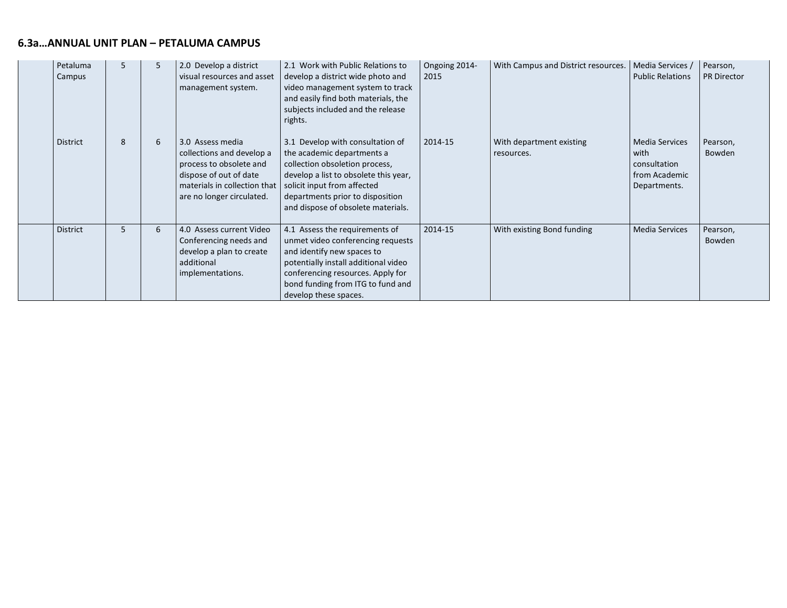| Petaluma<br>Campus | 5 | 5 | 2.0 Develop a district<br>visual resources and asset<br>management system.                                                                                      | 2.1 Work with Public Relations to<br>develop a district wide photo and<br>video management system to track<br>and easily find both materials, the<br>subjects included and the release<br>rights.                                                  | Ongoing 2014-<br>2015 | With Campus and District resources.    | Media Services /<br><b>Public Relations</b>                                    | Pearson,<br><b>PR Director</b> |
|--------------------|---|---|-----------------------------------------------------------------------------------------------------------------------------------------------------------------|----------------------------------------------------------------------------------------------------------------------------------------------------------------------------------------------------------------------------------------------------|-----------------------|----------------------------------------|--------------------------------------------------------------------------------|--------------------------------|
| District           | 8 | 6 | 3.0 Assess media<br>collections and develop a<br>process to obsolete and<br>dispose of out of date<br>materials in collection that<br>are no longer circulated. | 3.1 Develop with consultation of<br>the academic departments a<br>collection obsoletion process,<br>develop a list to obsolete this year,<br>solicit input from affected<br>departments prior to disposition<br>and dispose of obsolete materials. | 2014-15               | With department existing<br>resources. | <b>Media Services</b><br>with<br>consultation<br>from Academic<br>Departments. | Pearson,<br>Bowden             |
| <b>District</b>    | 5 | 6 | 4.0 Assess current Video<br>Conferencing needs and<br>develop a plan to create<br>additional<br>implementations.                                                | 4.1 Assess the requirements of<br>unmet video conferencing requests<br>and identify new spaces to<br>potentially install additional video<br>conferencing resources. Apply for<br>bond funding from ITG to fund and<br>develop these spaces.       | 2014-15               | With existing Bond funding             | <b>Media Services</b>                                                          | Pearson,<br>Bowden             |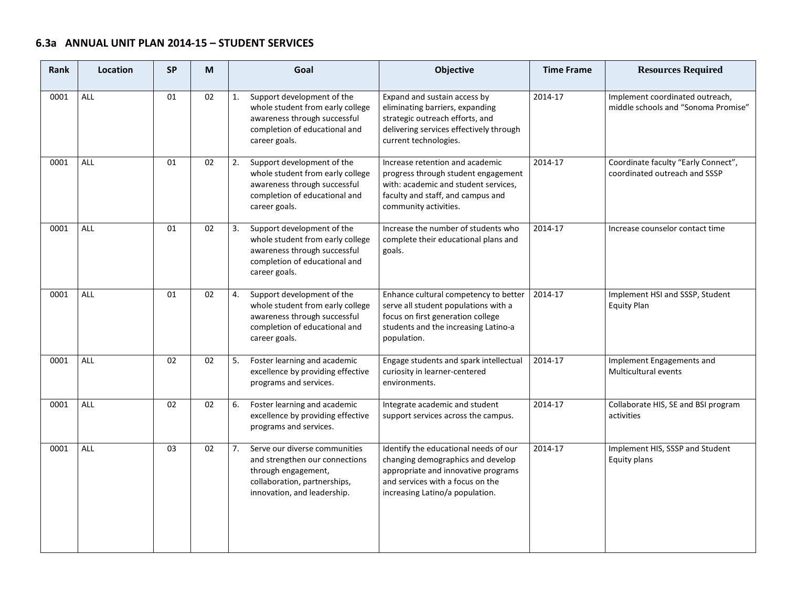# **6.3a ANNUAL UNIT PLAN 2014-15 – STUDENT SERVICES**

| <b>Rank</b> | Location   | <b>SP</b> | M  | Goal                                                                                                                                                        | Objective                                                                                                                                                                                | <b>Time Frame</b> | <b>Resources Required</b>                                              |
|-------------|------------|-----------|----|-------------------------------------------------------------------------------------------------------------------------------------------------------------|------------------------------------------------------------------------------------------------------------------------------------------------------------------------------------------|-------------------|------------------------------------------------------------------------|
| 0001        | ALL        | 01        | 02 | Support development of the<br>1.<br>whole student from early college<br>awareness through successful<br>completion of educational and<br>career goals.      | Expand and sustain access by<br>eliminating barriers, expanding<br>strategic outreach efforts, and<br>delivering services effectively through<br>current technologies.                   | 2014-17           | Implement coordinated outreach,<br>middle schools and "Sonoma Promise" |
| 0001        | <b>ALL</b> | 01        | 02 | Support development of the<br>2.<br>whole student from early college<br>awareness through successful<br>completion of educational and<br>career goals.      | Increase retention and academic<br>progress through student engagement<br>with: academic and student services,<br>faculty and staff, and campus and<br>community activities.             | 2014-17           | Coordinate faculty "Early Connect",<br>coordinated outreach and SSSP   |
| 0001        | ALL        | 01        | 02 | Support development of the<br>3.<br>whole student from early college<br>awareness through successful<br>completion of educational and<br>career goals.      | Increase the number of students who<br>complete their educational plans and<br>goals.                                                                                                    | 2014-17           | Increase counselor contact time                                        |
| 0001        | ALL        | 01        | 02 | Support development of the<br>4.<br>whole student from early college<br>awareness through successful<br>completion of educational and<br>career goals.      | Enhance cultural competency to better<br>serve all student populations with a<br>focus on first generation college<br>students and the increasing Latino-a<br>population.                | 2014-17           | Implement HSI and SSSP, Student<br><b>Equity Plan</b>                  |
| 0001        | <b>ALL</b> | 02        | 02 | Foster learning and academic<br>5.<br>excellence by providing effective<br>programs and services.                                                           | Engage students and spark intellectual<br>curiosity in learner-centered<br>environments.                                                                                                 | 2014-17           | Implement Engagements and<br>Multicultural events                      |
| 0001        | ALL        | 02        | 02 | Foster learning and academic<br>6.<br>excellence by providing effective<br>programs and services.                                                           | Integrate academic and student<br>support services across the campus.                                                                                                                    | 2014-17           | Collaborate HIS, SE and BSI program<br>activities                      |
| 0001        | <b>ALL</b> | 03        | 02 | 7.<br>Serve our diverse communities<br>and strengthen our connections<br>through engagement,<br>collaboration, partnerships,<br>innovation, and leadership. | Identify the educational needs of our<br>changing demographics and develop<br>appropriate and innovative programs<br>and services with a focus on the<br>increasing Latino/a population. | 2014-17           | Implement HIS, SSSP and Student<br>Equity plans                        |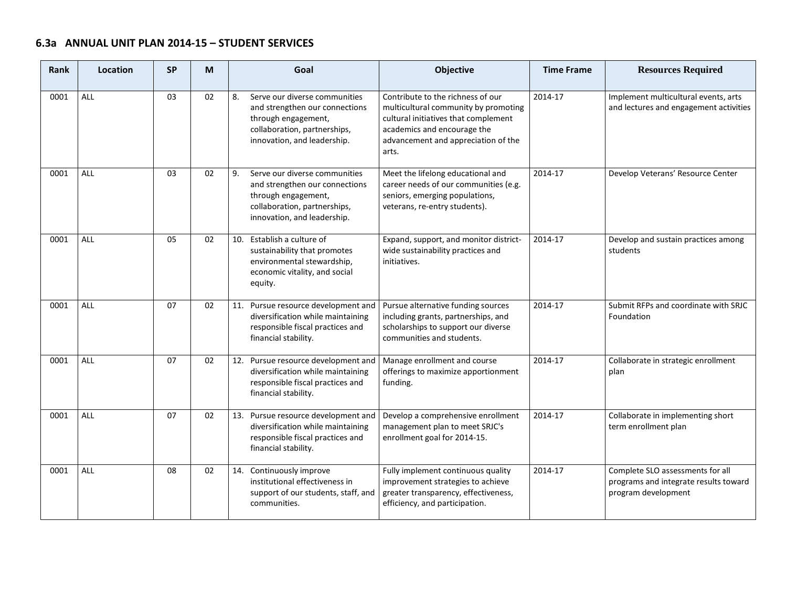# **6.3a ANNUAL UNIT PLAN 2014-15 – STUDENT SERVICES**

| Rank | Location   | <b>SP</b> | М  | Goal                                                                                                                                                        | <b>Objective</b>                                                                                                                                                                                 | <b>Time Frame</b> | <b>Resources Required</b>                                                                        |
|------|------------|-----------|----|-------------------------------------------------------------------------------------------------------------------------------------------------------------|--------------------------------------------------------------------------------------------------------------------------------------------------------------------------------------------------|-------------------|--------------------------------------------------------------------------------------------------|
| 0001 | <b>ALL</b> | 03        | 02 | Serve our diverse communities<br>8.<br>and strengthen our connections<br>through engagement,<br>collaboration, partnerships,<br>innovation, and leadership. | Contribute to the richness of our<br>multicultural community by promoting<br>cultural initiatives that complement<br>academics and encourage the<br>advancement and appreciation of the<br>arts. | 2014-17           | Implement multicultural events, arts<br>and lectures and engagement activities                   |
| 0001 | <b>ALL</b> | 03        | 02 | 9.<br>Serve our diverse communities<br>and strengthen our connections<br>through engagement,<br>collaboration, partnerships,<br>innovation, and leadership. | Meet the lifelong educational and<br>career needs of our communities (e.g.<br>seniors, emerging populations,<br>veterans, re-entry students).                                                    | 2014-17           | Develop Veterans' Resource Center                                                                |
| 0001 | <b>ALL</b> | 05        | 02 | 10. Establish a culture of<br>sustainability that promotes<br>environmental stewardship,<br>economic vitality, and social<br>equity.                        | Expand, support, and monitor district-<br>wide sustainability practices and<br>initiatives.                                                                                                      | 2014-17           | Develop and sustain practices among<br>students                                                  |
| 0001 | <b>ALL</b> | 07        | 02 | 11. Pursue resource development and<br>diversification while maintaining<br>responsible fiscal practices and<br>financial stability.                        | Pursue alternative funding sources<br>including grants, partnerships, and<br>scholarships to support our diverse<br>communities and students.                                                    | 2014-17           | Submit RFPs and coordinate with SRJC<br>Foundation                                               |
| 0001 | <b>ALL</b> | 07        | 02 | 12. Pursue resource development and<br>diversification while maintaining<br>responsible fiscal practices and<br>financial stability.                        | Manage enrollment and course<br>offerings to maximize apportionment<br>funding.                                                                                                                  | 2014-17           | Collaborate in strategic enrollment<br>plan                                                      |
| 0001 | <b>ALL</b> | 07        | 02 | 13. Pursue resource development and<br>diversification while maintaining<br>responsible fiscal practices and<br>financial stability.                        | Develop a comprehensive enrollment<br>management plan to meet SRJC's<br>enrollment goal for 2014-15.                                                                                             | 2014-17           | Collaborate in implementing short<br>term enrollment plan                                        |
| 0001 | <b>ALL</b> | 08        | 02 | 14. Continuously improve<br>institutional effectiveness in<br>support of our students, staff, and<br>communities.                                           | Fully implement continuous quality<br>improvement strategies to achieve<br>greater transparency, effectiveness,<br>efficiency, and participation.                                                | 2014-17           | Complete SLO assessments for all<br>programs and integrate results toward<br>program development |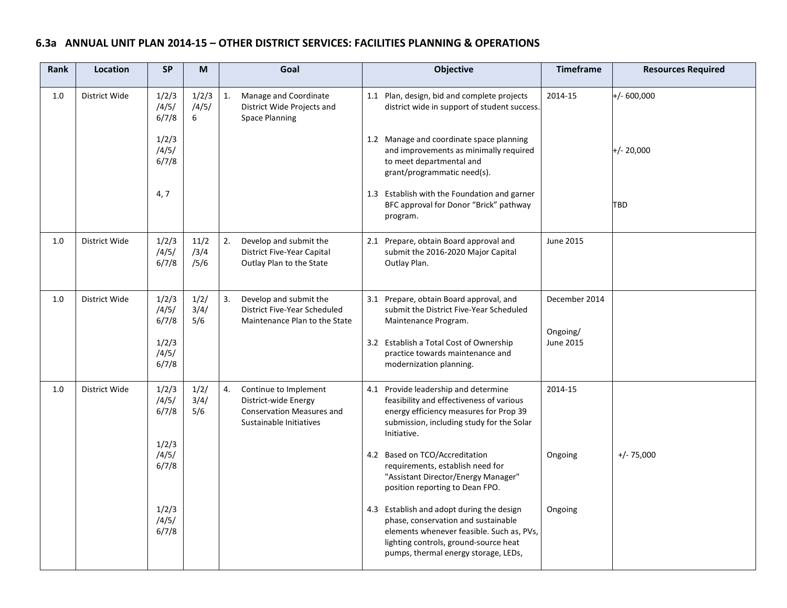| Rank | Location      | <b>SP</b>               | M                    |    | Goal                                                                                                         | Objective                                                                                                                                                                                                      | <b>Timeframe</b>          | <b>Resources Required</b> |
|------|---------------|-------------------------|----------------------|----|--------------------------------------------------------------------------------------------------------------|----------------------------------------------------------------------------------------------------------------------------------------------------------------------------------------------------------------|---------------------------|---------------------------|
| 1.0  | District Wide | 1/2/3<br>/4/5/<br>6/7/8 | 1/2/3<br>/4/5/<br>6  | 1. | Manage and Coordinate<br>District Wide Projects and<br><b>Space Planning</b>                                 | 1.1 Plan, design, bid and complete projects<br>district wide in support of student success.                                                                                                                    | 2014-15                   | $+/- 600,000$             |
|      |               | 1/2/3<br>/4/5/<br>6/7/8 |                      |    |                                                                                                              | 1.2 Manage and coordinate space planning<br>and improvements as minimally required<br>to meet departmental and<br>grant/programmatic need(s).                                                                  |                           | $+/- 20,000$              |
|      |               | 4, 7                    |                      |    |                                                                                                              | 1.3 Establish with the Foundation and garner<br>BFC approval for Donor "Brick" pathway<br>program.                                                                                                             |                           | TBD                       |
| 1.0  | District Wide | 1/2/3<br>/4/5/<br>6/7/8 | 11/2<br>/3/4<br>/5/6 | 2. | Develop and submit the<br>District Five-Year Capital<br>Outlay Plan to the State                             | 2.1 Prepare, obtain Board approval and<br>submit the 2016-2020 Major Capital<br>Outlay Plan.                                                                                                                   | June 2015                 |                           |
| 1.0  | District Wide | 1/2/3<br>/4/5/<br>6/7/8 | 1/2/<br>3/4/<br>5/6  | 3. | Develop and submit the<br>District Five-Year Scheduled<br>Maintenance Plan to the State                      | 3.1 Prepare, obtain Board approval, and<br>submit the District Five-Year Scheduled<br>Maintenance Program.                                                                                                     | December 2014<br>Ongoing/ |                           |
|      |               | 1/2/3<br>/4/5/<br>6/7/8 |                      |    |                                                                                                              | 3.2 Establish a Total Cost of Ownership<br>practice towards maintenance and<br>modernization planning.                                                                                                         | June 2015                 |                           |
| 1.0  | District Wide | 1/2/3<br>/4/5/<br>6/7/8 | 1/2/<br>3/4/<br>5/6  | 4. | Continue to Implement<br>District-wide Energy<br><b>Conservation Measures and</b><br>Sustainable Initiatives | 4.1 Provide leadership and determine<br>feasibility and effectiveness of various<br>energy efficiency measures for Prop 39<br>submission, including study for the Solar<br>Initiative.                         | 2014-15                   |                           |
|      |               | 1/2/3<br>/4/5/<br>6/7/8 |                      |    |                                                                                                              | 4.2 Based on TCO/Accreditation<br>requirements, establish need for<br>"Assistant Director/Energy Manager"<br>position reporting to Dean FPO.                                                                   | Ongoing                   | $+/- 75,000$              |
|      |               | 1/2/3<br>/4/5/<br>6/7/8 |                      |    |                                                                                                              | 4.3 Establish and adopt during the design<br>phase, conservation and sustainable<br>elements whenever feasible. Such as, PVs,<br>lighting controls, ground-source heat<br>pumps, thermal energy storage, LEDs, | Ongoing                   |                           |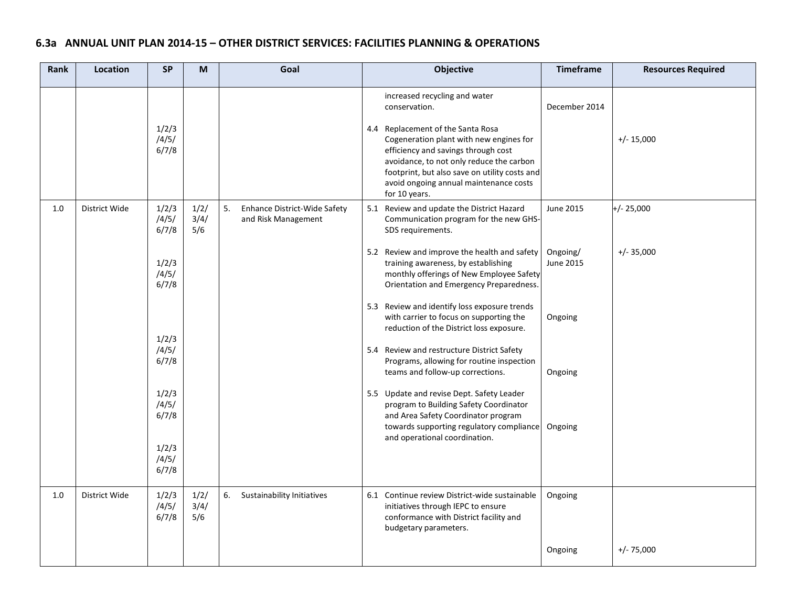| Rank | Location      | <b>SP</b>               | M                   | Goal                                                      | Objective                                                                                                                                                                                                                                                                                                                     | <b>Timeframe</b>      | <b>Resources Required</b> |
|------|---------------|-------------------------|---------------------|-----------------------------------------------------------|-------------------------------------------------------------------------------------------------------------------------------------------------------------------------------------------------------------------------------------------------------------------------------------------------------------------------------|-----------------------|---------------------------|
|      |               | 1/2/3<br>/4/5/<br>6/7/8 |                     |                                                           | increased recycling and water<br>conservation.<br>4.4 Replacement of the Santa Rosa<br>Cogeneration plant with new engines for<br>efficiency and savings through cost<br>avoidance, to not only reduce the carbon<br>footprint, but also save on utility costs and<br>avoid ongoing annual maintenance costs<br>for 10 years. | December 2014         | $+/- 15,000$              |
| 1.0  | District Wide | 1/2/3<br>/4/5/<br>6/7/8 | 1/2/<br>3/4/<br>5/6 | 5.<br>Enhance District-Wide Safety<br>and Risk Management | 5.1 Review and update the District Hazard<br>Communication program for the new GHS-<br>SDS requirements.                                                                                                                                                                                                                      | June 2015             | $+/- 25,000$              |
|      |               | 1/2/3<br>/4/5/<br>6/7/8 |                     |                                                           | 5.2 Review and improve the health and safety<br>training awareness, by establishing<br>monthly offerings of New Employee Safety<br>Orientation and Emergency Preparedness.                                                                                                                                                    | Ongoing/<br>June 2015 | $+/- 35,000$              |
|      |               | 1/2/3                   |                     |                                                           | 5.3 Review and identify loss exposure trends<br>with carrier to focus on supporting the<br>reduction of the District loss exposure.                                                                                                                                                                                           | Ongoing               |                           |
|      |               | /4/5/<br>6/7/8          |                     |                                                           | 5.4 Review and restructure District Safety<br>Programs, allowing for routine inspection<br>teams and follow-up corrections.                                                                                                                                                                                                   | Ongoing               |                           |
|      |               | 1/2/3<br>/4/5/<br>6/7/8 |                     |                                                           | 5.5 Update and revise Dept. Safety Leader<br>program to Building Safety Coordinator<br>and Area Safety Coordinator program<br>towards supporting regulatory compliance                                                                                                                                                        | Ongoing               |                           |
|      |               | 1/2/3<br>/4/5/<br>6/7/8 |                     |                                                           | and operational coordination.                                                                                                                                                                                                                                                                                                 |                       |                           |
| 1.0  | District Wide | 1/2/3<br>/4/5/<br>6/7/8 | 1/2/<br>3/4/<br>5/6 | 6.<br>Sustainability Initiatives                          | 6.1 Continue review District-wide sustainable<br>initiatives through IEPC to ensure<br>conformance with District facility and<br>budgetary parameters.                                                                                                                                                                        | Ongoing               |                           |
|      |               |                         |                     |                                                           |                                                                                                                                                                                                                                                                                                                               | Ongoing               | $+/- 75,000$              |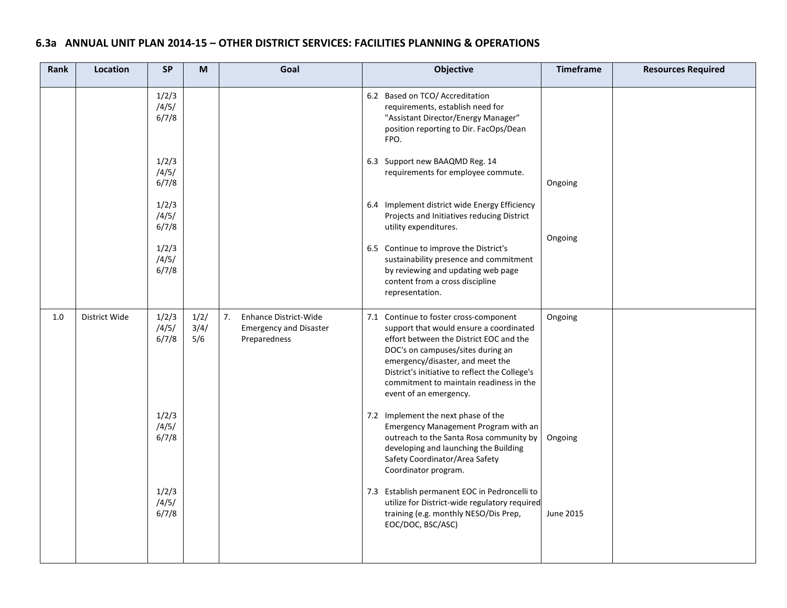| Rank | Location      | <b>SP</b>               | M                   | Goal                                                                         | Objective                                                                                                                                                                                                                                                                                                                    | <b>Timeframe</b> | <b>Resources Required</b> |
|------|---------------|-------------------------|---------------------|------------------------------------------------------------------------------|------------------------------------------------------------------------------------------------------------------------------------------------------------------------------------------------------------------------------------------------------------------------------------------------------------------------------|------------------|---------------------------|
|      |               | 1/2/3<br>/4/5/<br>6/7/8 |                     |                                                                              | 6.2 Based on TCO/ Accreditation<br>requirements, establish need for<br>"Assistant Director/Energy Manager"<br>position reporting to Dir. FacOps/Dean<br>FPO.                                                                                                                                                                 |                  |                           |
|      |               | 1/2/3<br>/4/5/<br>6/7/8 |                     |                                                                              | 6.3 Support new BAAQMD Reg. 14<br>requirements for employee commute.                                                                                                                                                                                                                                                         | Ongoing          |                           |
|      |               | 1/2/3<br>/4/5/<br>6/7/8 |                     |                                                                              | 6.4 Implement district wide Energy Efficiency<br>Projects and Initiatives reducing District<br>utility expenditures.                                                                                                                                                                                                         | Ongoing          |                           |
|      |               | 1/2/3<br>/4/5/<br>6/7/8 |                     |                                                                              | 6.5 Continue to improve the District's<br>sustainability presence and commitment<br>by reviewing and updating web page<br>content from a cross discipline<br>representation.                                                                                                                                                 |                  |                           |
| 1.0  | District Wide | 1/2/3<br>/4/5/<br>6/7/8 | 1/2/<br>3/4/<br>5/6 | 7.<br>Enhance District-Wide<br><b>Emergency and Disaster</b><br>Preparedness | 7.1 Continue to foster cross-component<br>support that would ensure a coordinated<br>effort between the District EOC and the<br>DOC's on campuses/sites during an<br>emergency/disaster, and meet the<br>District's initiative to reflect the College's<br>commitment to maintain readiness in the<br>event of an emergency. | Ongoing          |                           |
|      |               | 1/2/3<br>/4/5/<br>6/7/8 |                     |                                                                              | 7.2 Implement the next phase of the<br>Emergency Management Program with an<br>outreach to the Santa Rosa community by<br>developing and launching the Building<br>Safety Coordinator/Area Safety<br>Coordinator program.                                                                                                    | Ongoing          |                           |
|      |               | 1/2/3<br>/4/5/<br>6/7/8 |                     |                                                                              | 7.3 Establish permanent EOC in Pedroncelli to<br>utilize for District-wide regulatory required<br>training (e.g. monthly NESO/Dis Prep,<br>EOC/DOC, BSC/ASC)                                                                                                                                                                 | June 2015        |                           |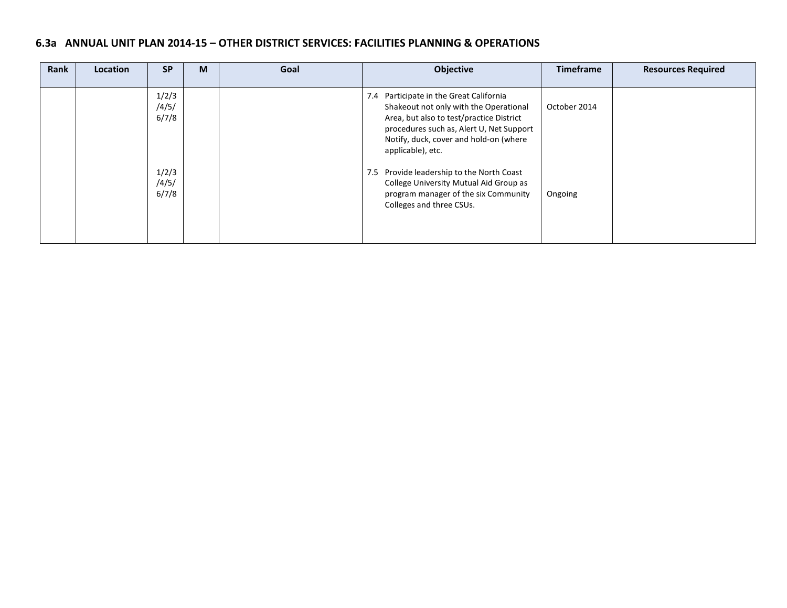| Rank | <b>Location</b> | <b>SP</b>               | M | Goal | Objective                                                                                                                                                                                                                                | <b>Timeframe</b> | <b>Resources Required</b> |
|------|-----------------|-------------------------|---|------|------------------------------------------------------------------------------------------------------------------------------------------------------------------------------------------------------------------------------------------|------------------|---------------------------|
|      |                 | 1/2/3<br>/4/5/<br>6/7/8 |   |      | 7.4 Participate in the Great California<br>Shakeout not only with the Operational<br>Area, but also to test/practice District<br>procedures such as, Alert U, Net Support<br>Notify, duck, cover and hold-on (where<br>applicable), etc. | October 2014     |                           |
|      |                 | 1/2/3<br>/4/5/<br>6/7/8 |   |      | 7.5 Provide leadership to the North Coast<br>College University Mutual Aid Group as<br>program manager of the six Community<br>Colleges and three CSUs.                                                                                  | Ongoing          |                           |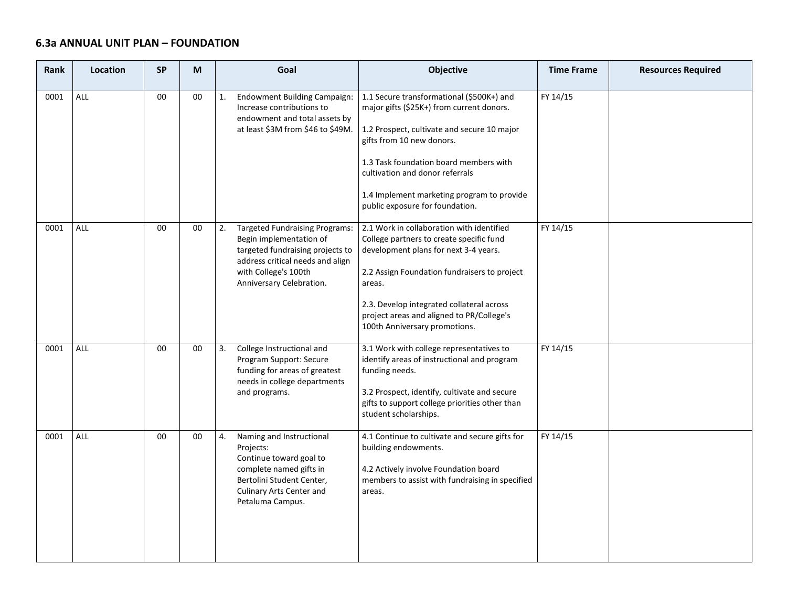# **6.3a ANNUAL UNIT PLAN – FOUNDATION**

| <b>Rank</b> | Location   | <b>SP</b> | M  | Goal                                                                                                                                                                                               | Objective                                                                                                                                                                                                                                                                                                                        | <b>Time Frame</b> | <b>Resources Required</b> |
|-------------|------------|-----------|----|----------------------------------------------------------------------------------------------------------------------------------------------------------------------------------------------------|----------------------------------------------------------------------------------------------------------------------------------------------------------------------------------------------------------------------------------------------------------------------------------------------------------------------------------|-------------------|---------------------------|
| 0001        | ALL        | 00        | 00 | <b>Endowment Building Campaign:</b><br>1.<br>Increase contributions to<br>endowment and total assets by<br>at least \$3M from \$46 to \$49M.                                                       | 1.1 Secure transformational (\$500K+) and<br>major gifts (\$25K+) from current donors.<br>1.2 Prospect, cultivate and secure 10 major<br>gifts from 10 new donors.<br>1.3 Task foundation board members with<br>cultivation and donor referrals<br>1.4 Implement marketing program to provide<br>public exposure for foundation. | FY 14/15          |                           |
| 0001        | ALL        | 00        | 00 | 2.<br><b>Targeted Fundraising Programs:</b><br>Begin implementation of<br>targeted fundraising projects to<br>address critical needs and align<br>with College's 100th<br>Anniversary Celebration. | 2.1 Work in collaboration with identified<br>College partners to create specific fund<br>development plans for next 3-4 years.<br>2.2 Assign Foundation fundraisers to project<br>areas.<br>2.3. Develop integrated collateral across<br>project areas and aligned to PR/College's<br>100th Anniversary promotions.              | FY 14/15          |                           |
| 0001        | <b>ALL</b> | $00\,$    | 00 | 3.<br>College Instructional and<br>Program Support: Secure<br>funding for areas of greatest<br>needs in college departments<br>and programs.                                                       | 3.1 Work with college representatives to<br>identify areas of instructional and program<br>funding needs.<br>3.2 Prospect, identify, cultivate and secure<br>gifts to support college priorities other than<br>student scholarships.                                                                                             | FY 14/15          |                           |
| 0001        | <b>ALL</b> | 00        | 00 | Naming and Instructional<br>4.<br>Projects:<br>Continue toward goal to<br>complete named gifts in<br>Bertolini Student Center,<br>Culinary Arts Center and<br>Petaluma Campus.                     | 4.1 Continue to cultivate and secure gifts for<br>building endowments.<br>4.2 Actively involve Foundation board<br>members to assist with fundraising in specified<br>areas.                                                                                                                                                     | FY 14/15          |                           |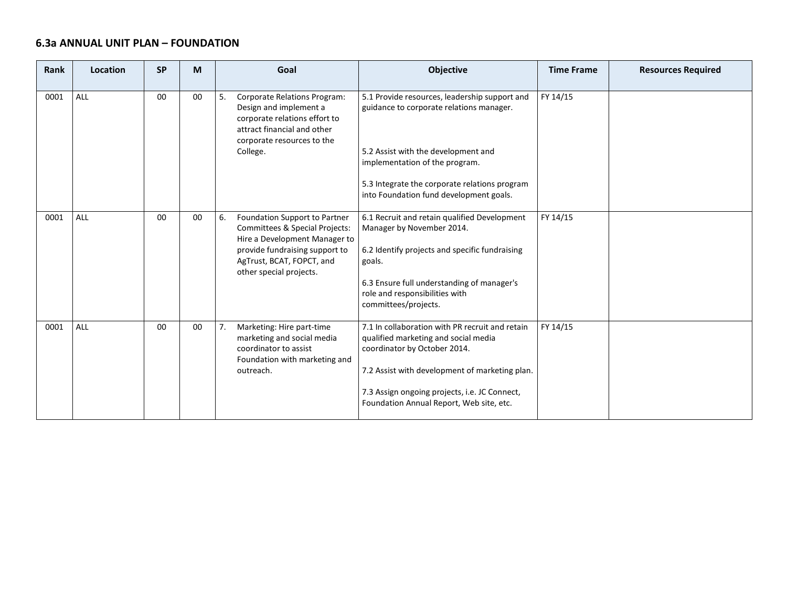#### **6.3a ANNUAL UNIT PLAN – FOUNDATION**

 $\sim$ 

**Contract Contract** 

| Rank | Location | <b>SP</b> | M  | Goal                                                                                                                                                                                             | Objective                                                                                                                                                                                                                                                              | <b>Time Frame</b> | <b>Resources Required</b> |
|------|----------|-----------|----|--------------------------------------------------------------------------------------------------------------------------------------------------------------------------------------------------|------------------------------------------------------------------------------------------------------------------------------------------------------------------------------------------------------------------------------------------------------------------------|-------------------|---------------------------|
| 0001 | ALL      | 00        | 00 | <b>Corporate Relations Program:</b><br>5.<br>Design and implement a<br>corporate relations effort to<br>attract financial and other<br>corporate resources to the<br>College.                    | 5.1 Provide resources, leadership support and<br>guidance to corporate relations manager.<br>5.2 Assist with the development and<br>implementation of the program.<br>5.3 Integrate the corporate relations program<br>into Foundation fund development goals.         | FY 14/15          |                           |
| 0001 | ALL      | 00        | 00 | Foundation Support to Partner<br>6.<br>Committees & Special Projects:<br>Hire a Development Manager to<br>provide fundraising support to<br>AgTrust, BCAT, FOPCT, and<br>other special projects. | 6.1 Recruit and retain qualified Development<br>Manager by November 2014.<br>6.2 Identify projects and specific fundraising<br>goals.<br>6.3 Ensure full understanding of manager's<br>role and responsibilities with<br>committees/projects.                          | FY 14/15          |                           |
| 0001 | ALL      | 00        | 00 | Marketing: Hire part-time<br>7.<br>marketing and social media<br>coordinator to assist<br>Foundation with marketing and<br>outreach.                                                             | 7.1 In collaboration with PR recruit and retain<br>qualified marketing and social media<br>coordinator by October 2014.<br>7.2 Assist with development of marketing plan.<br>7.3 Assign ongoing projects, i.e. JC Connect,<br>Foundation Annual Report, Web site, etc. | FY 14/15          |                           |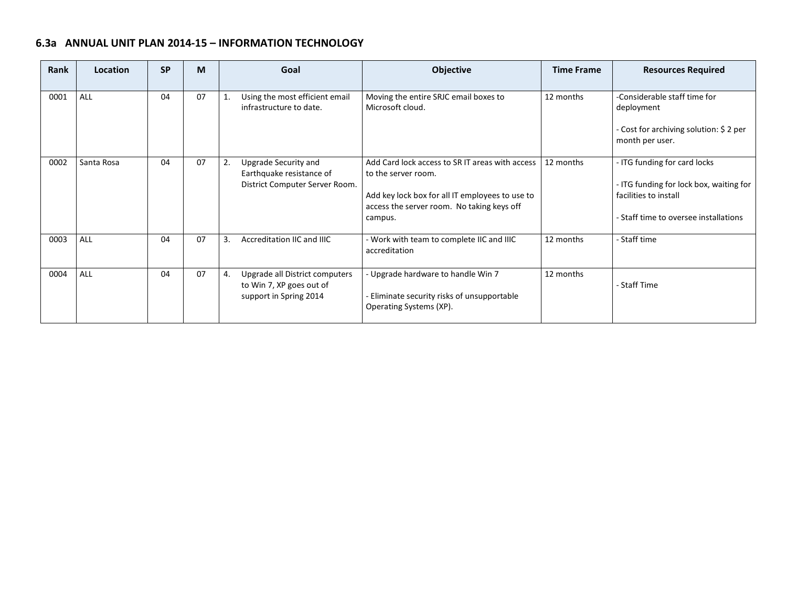# **6.3a ANNUAL UNIT PLAN 2014-15 – INFORMATION TECHNOLOGY**

**Contract Contract** 

 $\sim$ 

| Rank | Location   | <b>SP</b> | M  | Goal |                                                                                      | <b>Objective</b>                                                                                                                                                                  | <b>Time Frame</b> | <b>Resources Required</b>                                                                                                                 |
|------|------------|-----------|----|------|--------------------------------------------------------------------------------------|-----------------------------------------------------------------------------------------------------------------------------------------------------------------------------------|-------------------|-------------------------------------------------------------------------------------------------------------------------------------------|
| 0001 | ALL        | 04        | 07 | 1.   | Using the most efficient email<br>infrastructure to date.                            | Moving the entire SRJC email boxes to<br>Microsoft cloud.                                                                                                                         | 12 months         | -Considerable staff time for<br>deployment<br>Cost for archiving solution: \$ 2 per<br>month per user.                                    |
| 0002 | Santa Rosa | 04        | 07 | 2.   | Upgrade Security and<br>Earthquake resistance of<br>District Computer Server Room.   | Add Card lock access to SRIT areas with access<br>to the server room.<br>Add key lock box for all IT employees to use to<br>access the server room. No taking keys off<br>campus. | 12 months         | - ITG funding for card locks<br>- ITG funding for lock box, waiting for<br>facilities to install<br>- Staff time to oversee installations |
| 0003 | ALL        | 04        | 07 | 3.   | Accreditation IIC and IIIC                                                           | Work with team to complete IIC and IIIC<br>accreditation                                                                                                                          | 12 months         | - Staff time                                                                                                                              |
| 0004 | ALL        | 04        | 07 | 4.   | Upgrade all District computers<br>to Win 7, XP goes out of<br>support in Spring 2014 | Upgrade hardware to handle Win 7<br>Eliminate security risks of unsupportable<br>Operating Systems (XP).                                                                          | 12 months         | - Staff Time                                                                                                                              |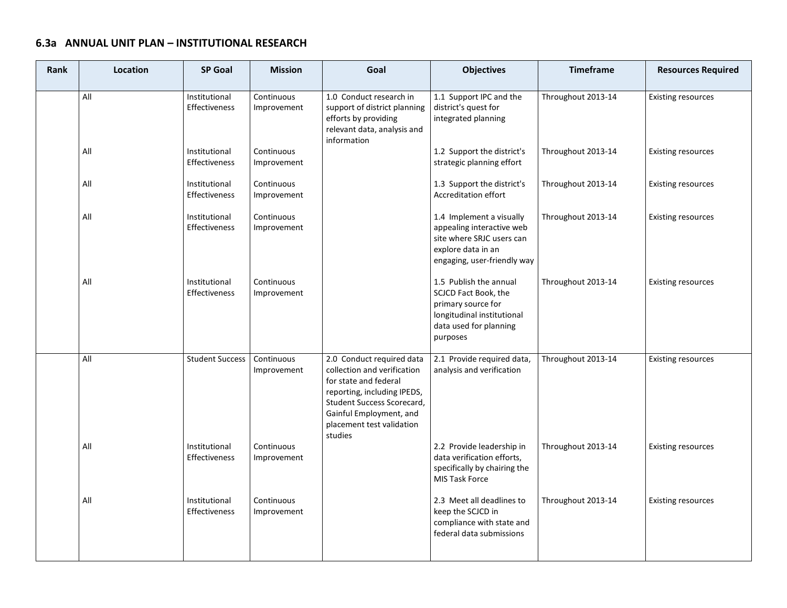#### **6.3a ANNUAL UNIT PLAN – INSTITUTIONAL RESEARCH**

| <b>Rank</b> | Location | <b>SP Goal</b>                 | <b>Mission</b>            | Goal                                                                                                                                                                                                              | <b>Objectives</b>                                                                                                                        | <b>Timeframe</b>   | <b>Resources Required</b> |
|-------------|----------|--------------------------------|---------------------------|-------------------------------------------------------------------------------------------------------------------------------------------------------------------------------------------------------------------|------------------------------------------------------------------------------------------------------------------------------------------|--------------------|---------------------------|
|             | All      | Institutional<br>Effectiveness | Continuous<br>Improvement | 1.0 Conduct research in<br>support of district planning<br>efforts by providing<br>relevant data, analysis and<br>information                                                                                     | 1.1 Support IPC and the<br>district's quest for<br>integrated planning                                                                   | Throughout 2013-14 | <b>Existing resources</b> |
|             | All      | Institutional<br>Effectiveness | Continuous<br>Improvement |                                                                                                                                                                                                                   | 1.2 Support the district's<br>strategic planning effort                                                                                  | Throughout 2013-14 | <b>Existing resources</b> |
|             | All      | Institutional<br>Effectiveness | Continuous<br>Improvement |                                                                                                                                                                                                                   | 1.3 Support the district's<br>Accreditation effort                                                                                       | Throughout 2013-14 | <b>Existing resources</b> |
|             | All      | Institutional<br>Effectiveness | Continuous<br>Improvement |                                                                                                                                                                                                                   | 1.4 Implement a visually<br>appealing interactive web<br>site where SRJC users can<br>explore data in an<br>engaging, user-friendly way  | Throughout 2013-14 | <b>Existing resources</b> |
|             | All      | Institutional<br>Effectiveness | Continuous<br>Improvement |                                                                                                                                                                                                                   | 1.5 Publish the annual<br>SCJCD Fact Book, the<br>primary source for<br>longitudinal institutional<br>data used for planning<br>purposes | Throughout 2013-14 | <b>Existing resources</b> |
|             | All      | <b>Student Success</b>         | Continuous<br>Improvement | 2.0 Conduct required data<br>collection and verification<br>for state and federal<br>reporting, including IPEDS,<br>Student Success Scorecard,<br>Gainful Employment, and<br>placement test validation<br>studies | 2.1 Provide required data,<br>analysis and verification                                                                                  | Throughout 2013-14 | <b>Existing resources</b> |
|             | All      | Institutional<br>Effectiveness | Continuous<br>Improvement |                                                                                                                                                                                                                   | 2.2 Provide leadership in<br>data verification efforts,<br>specifically by chairing the<br>MIS Task Force                                | Throughout 2013-14 | <b>Existing resources</b> |
|             | All      | Institutional<br>Effectiveness | Continuous<br>Improvement |                                                                                                                                                                                                                   | 2.3 Meet all deadlines to<br>keep the SCJCD in<br>compliance with state and<br>federal data submissions                                  | Throughout 2013-14 | <b>Existing resources</b> |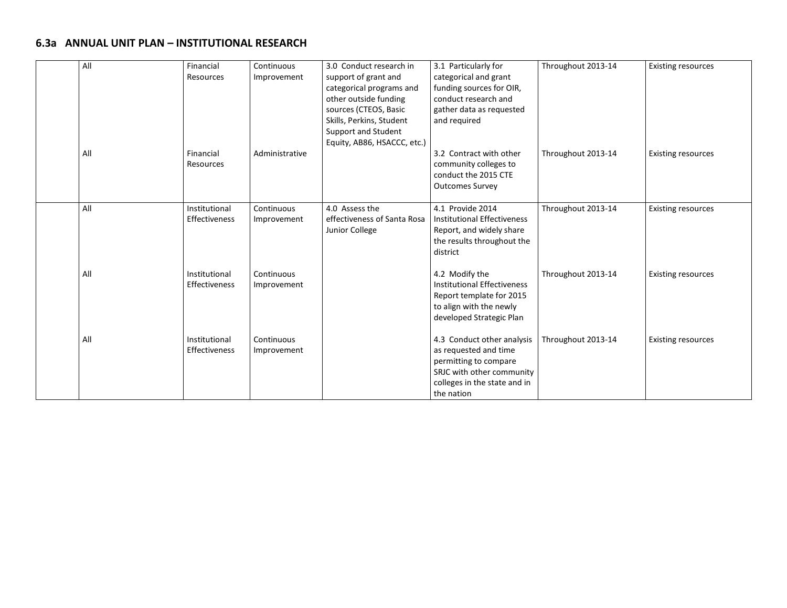#### **6.3a ANNUAL UNIT PLAN – INSTITUTIONAL RESEARCH**

| All | Financial<br>Resources         | Continuous<br>Improvement | 3.0 Conduct research in<br>support of grant and<br>categorical programs and<br>other outside funding<br>sources (CTEOS, Basic<br>Skills, Perkins, Student<br>Support and Student<br>Equity, AB86, HSACCC, etc.) | 3.1 Particularly for<br>categorical and grant<br>funding sources for OIR,<br>conduct research and<br>gather data as requested<br>and required           | Throughout 2013-14 | <b>Existing resources</b> |
|-----|--------------------------------|---------------------------|-----------------------------------------------------------------------------------------------------------------------------------------------------------------------------------------------------------------|---------------------------------------------------------------------------------------------------------------------------------------------------------|--------------------|---------------------------|
| All | Financial<br>Resources         | Administrative            |                                                                                                                                                                                                                 | 3.2 Contract with other<br>community colleges to<br>conduct the 2015 CTE<br><b>Outcomes Survey</b>                                                      | Throughout 2013-14 | <b>Existing resources</b> |
| All | Institutional<br>Effectiveness | Continuous<br>Improvement | 4.0 Assess the<br>effectiveness of Santa Rosa<br>Junior College                                                                                                                                                 | 4.1 Provide 2014<br><b>Institutional Effectiveness</b><br>Report, and widely share<br>the results throughout the<br>district                            | Throughout 2013-14 | <b>Existing resources</b> |
| All | Institutional<br>Effectiveness | Continuous<br>Improvement |                                                                                                                                                                                                                 | 4.2 Modify the<br><b>Institutional Effectiveness</b><br>Report template for 2015<br>to align with the newly<br>developed Strategic Plan                 | Throughout 2013-14 | <b>Existing resources</b> |
| All | Institutional<br>Effectiveness | Continuous<br>Improvement |                                                                                                                                                                                                                 | 4.3 Conduct other analysis<br>as requested and time<br>permitting to compare<br>SRJC with other community<br>colleges in the state and in<br>the nation | Throughout 2013-14 | <b>Existing resources</b> |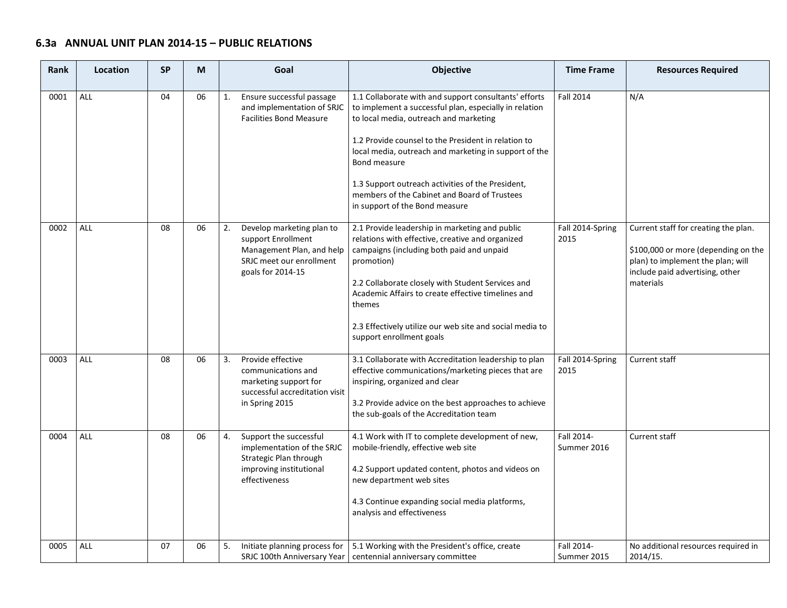#### **6.3a ANNUAL UNIT PLAN 2014-15 – PUBLIC RELATIONS**

| <b>Rank</b> | Location   | <b>SP</b> | M  | Goal                                                                                                                                | Objective                                                                                                                                                                                                                                                                                                                                                                                                                        | <b>Time Frame</b>         | <b>Resources Required</b>                                                                                                                                        |
|-------------|------------|-----------|----|-------------------------------------------------------------------------------------------------------------------------------------|----------------------------------------------------------------------------------------------------------------------------------------------------------------------------------------------------------------------------------------------------------------------------------------------------------------------------------------------------------------------------------------------------------------------------------|---------------------------|------------------------------------------------------------------------------------------------------------------------------------------------------------------|
| 0001        | <b>ALL</b> | 04        | 06 | Ensure successful passage<br>1.<br>and implementation of SRJC<br><b>Facilities Bond Measure</b>                                     | 1.1 Collaborate with and support consultants' efforts<br>to implement a successful plan, especially in relation<br>to local media, outreach and marketing<br>1.2 Provide counsel to the President in relation to<br>local media, outreach and marketing in support of the<br>Bond measure<br>1.3 Support outreach activities of the President,<br>members of the Cabinet and Board of Trustees<br>in support of the Bond measure | <b>Fall 2014</b>          | N/A                                                                                                                                                              |
| 0002        | ALL        | 08        | 06 | Develop marketing plan to<br>2.<br>support Enrollment<br>Management Plan, and help<br>SRJC meet our enrollment<br>goals for 2014-15 | 2.1 Provide leadership in marketing and public<br>relations with effective, creative and organized<br>campaigns (including both paid and unpaid<br>promotion)<br>2.2 Collaborate closely with Student Services and<br>Academic Affairs to create effective timelines and<br>themes<br>2.3 Effectively utilize our web site and social media to<br>support enrollment goals                                                       | Fall 2014-Spring<br>2015  | Current staff for creating the plan.<br>\$100,000 or more (depending on the<br>plan) to implement the plan; will<br>include paid advertising, other<br>materials |
| 0003        | ALL        | 08        | 06 | 3.<br>Provide effective<br>communications and<br>marketing support for<br>successful accreditation visit<br>in Spring 2015          | 3.1 Collaborate with Accreditation leadership to plan<br>effective communications/marketing pieces that are<br>inspiring, organized and clear<br>3.2 Provide advice on the best approaches to achieve<br>the sub-goals of the Accreditation team                                                                                                                                                                                 | Fall 2014-Spring<br>2015  | Current staff                                                                                                                                                    |
| 0004        | <b>ALL</b> | 08        | 06 | Support the successful<br>4.<br>implementation of the SRJC<br>Strategic Plan through<br>improving institutional<br>effectiveness    | 4.1 Work with IT to complete development of new,<br>mobile-friendly, effective web site<br>4.2 Support updated content, photos and videos on<br>new department web sites<br>4.3 Continue expanding social media platforms,<br>analysis and effectiveness                                                                                                                                                                         | Fall 2014-<br>Summer 2016 | Current staff                                                                                                                                                    |
| 0005        | <b>ALL</b> | 07        | 06 | 5.<br>Initiate planning process for                                                                                                 | 5.1 Working with the President's office, create<br>SRJC 100th Anniversary Year   centennial anniversary committee                                                                                                                                                                                                                                                                                                                | Fall 2014-<br>Summer 2015 | No additional resources required in<br>2014/15.                                                                                                                  |